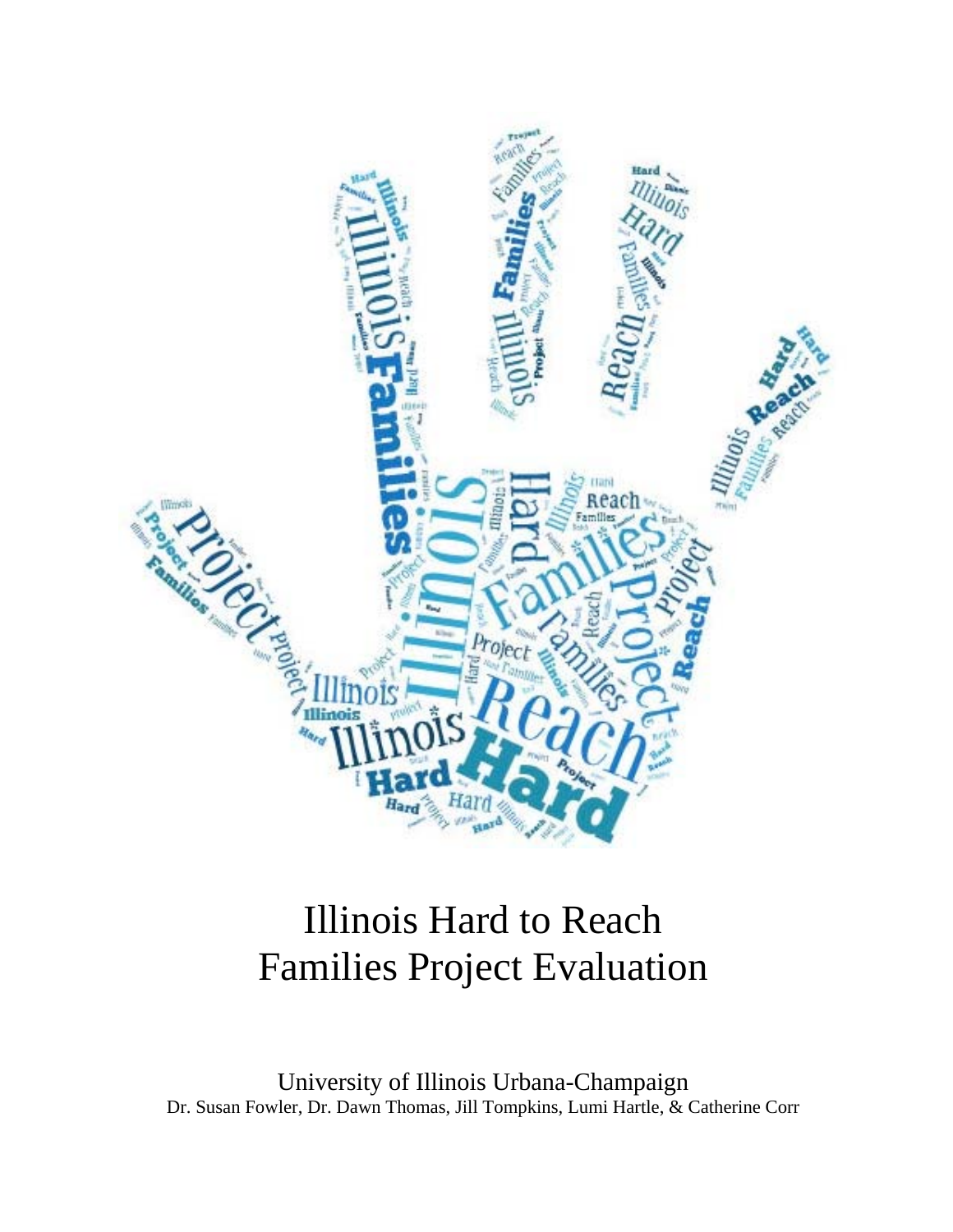

# Illinois Hard to Reach Families Project Evaluation

University of Illinois Urbana-Champaign Dr. Susan Fowler, Dr. Dawn Thomas, Jill Tompkins, Lumi Hartle, & Catherine Corr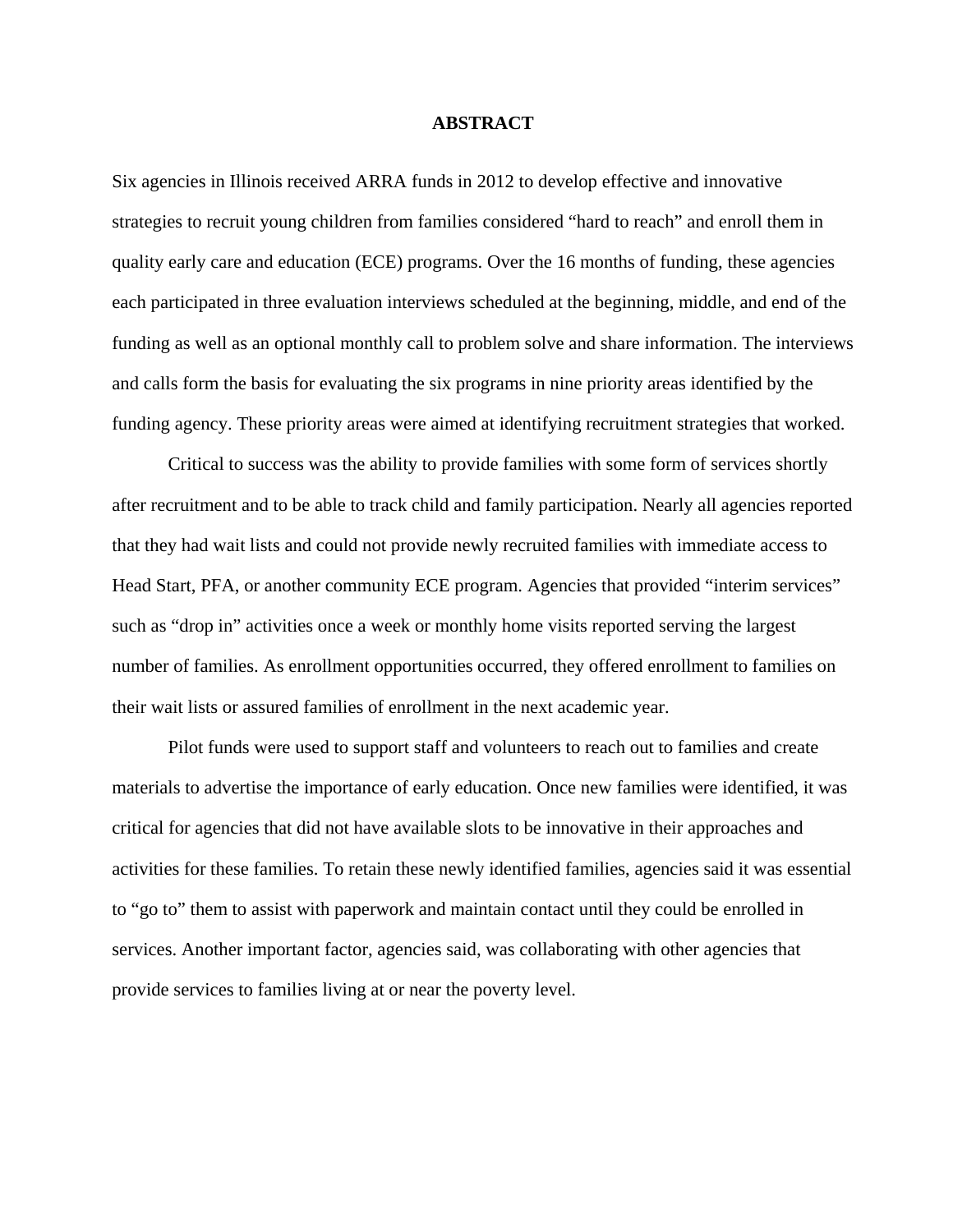#### **ABSTRACT**

Six agencies in Illinois received ARRA funds in 2012 to develop effective and innovative strategies to recruit young children from families considered "hard to reach" and enroll them in quality early care and education (ECE) programs. Over the 16 months of funding, these agencies each participated in three evaluation interviews scheduled at the beginning, middle, and end of the funding as well as an optional monthly call to problem solve and share information. The interviews and calls form the basis for evaluating the six programs in nine priority areas identified by the funding agency. These priority areas were aimed at identifying recruitment strategies that worked.

Critical to success was the ability to provide families with some form of services shortly after recruitment and to be able to track child and family participation. Nearly all agencies reported that they had wait lists and could not provide newly recruited families with immediate access to Head Start, PFA, or another community ECE program. Agencies that provided "interim services" such as "drop in" activities once a week or monthly home visits reported serving the largest number of families. As enrollment opportunities occurred, they offered enrollment to families on their wait lists or assured families of enrollment in the next academic year.

Pilot funds were used to support staff and volunteers to reach out to families and create materials to advertise the importance of early education. Once new families were identified, it was critical for agencies that did not have available slots to be innovative in their approaches and activities for these families. To retain these newly identified families, agencies said it was essential to "go to" them to assist with paperwork and maintain contact until they could be enrolled in services. Another important factor, agencies said, was collaborating with other agencies that provide services to families living at or near the poverty level.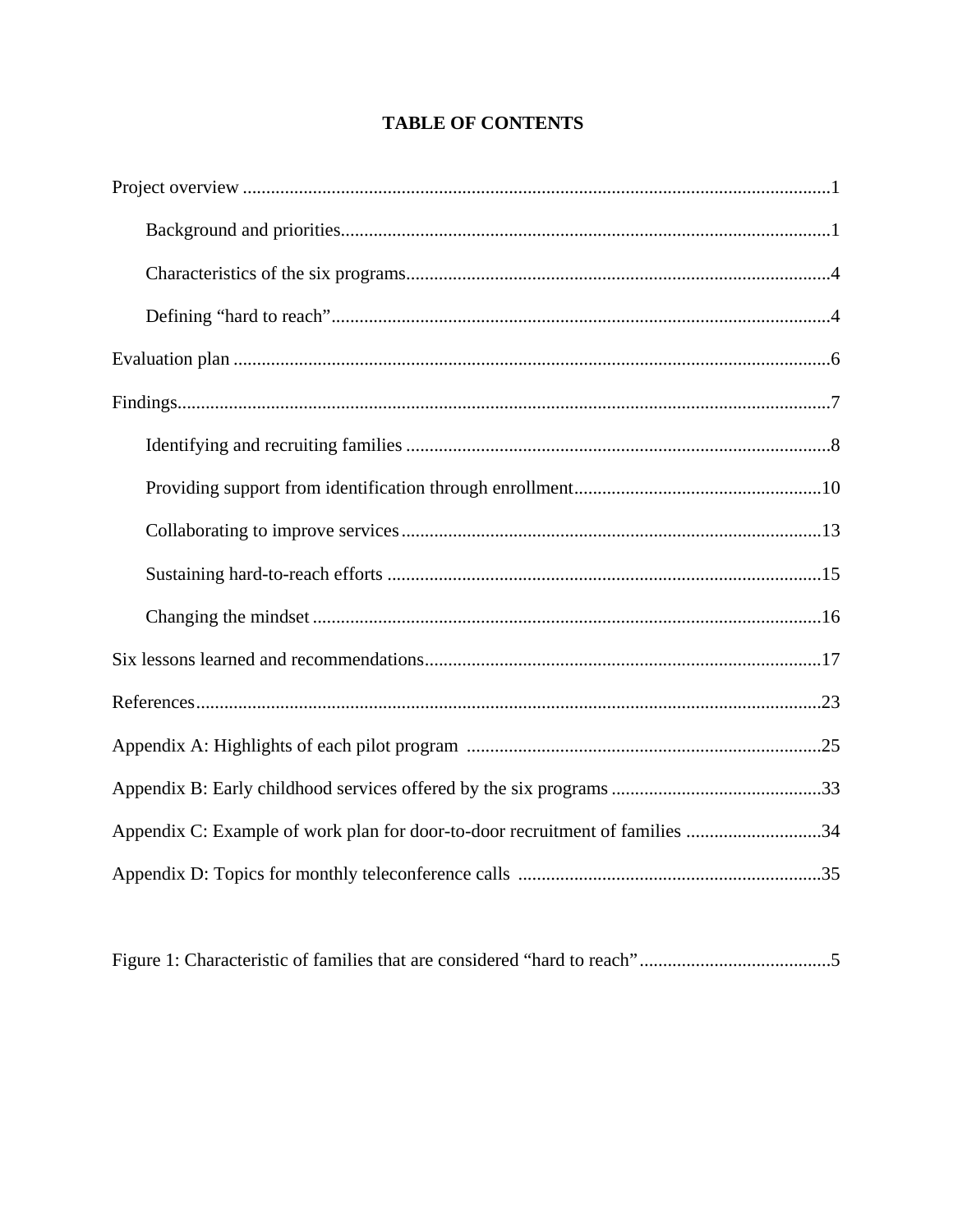# **TABLE OF CONTENTS**

| Appendix C: Example of work plan for door-to-door recruitment of families 34 |
|------------------------------------------------------------------------------|
|                                                                              |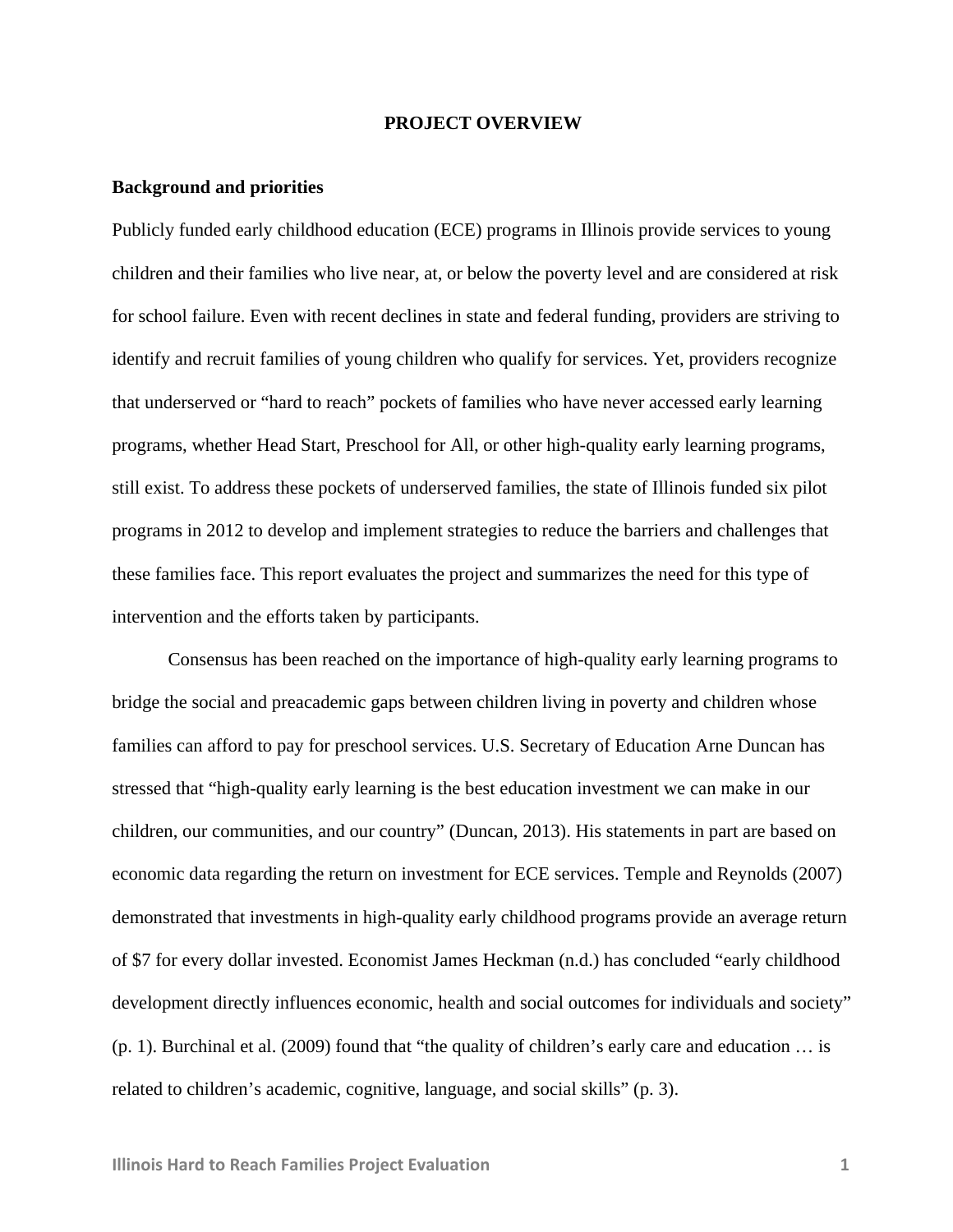#### **PROJECT OVERVIEW**

#### **Background and priorities**

Publicly funded early childhood education (ECE) programs in Illinois provide services to young children and their families who live near, at, or below the poverty level and are considered at risk for school failure. Even with recent declines in state and federal funding, providers are striving to identify and recruit families of young children who qualify for services. Yet, providers recognize that underserved or "hard to reach" pockets of families who have never accessed early learning programs, whether Head Start, Preschool for All, or other high-quality early learning programs, still exist. To address these pockets of underserved families, the state of Illinois funded six pilot programs in 2012 to develop and implement strategies to reduce the barriers and challenges that these families face. This report evaluates the project and summarizes the need for this type of intervention and the efforts taken by participants.

Consensus has been reached on the importance of high-quality early learning programs to bridge the social and preacademic gaps between children living in poverty and children whose families can afford to pay for preschool services. U.S. Secretary of Education Arne Duncan has stressed that "high-quality early learning is the best education investment we can make in our children, our communities, and our country" (Duncan, 2013). His statements in part are based on economic data regarding the return on investment for ECE services. Temple and Reynolds (2007) demonstrated that investments in high-quality early childhood programs provide an average return of \$7 for every dollar invested. Economist James Heckman (n.d.) has concluded "early childhood development directly influences economic, health and social outcomes for individuals and society" (p. 1). Burchinal et al. (2009) found that "the quality of children's early care and education … is related to children's academic, cognitive, language, and social skills" (p. 3).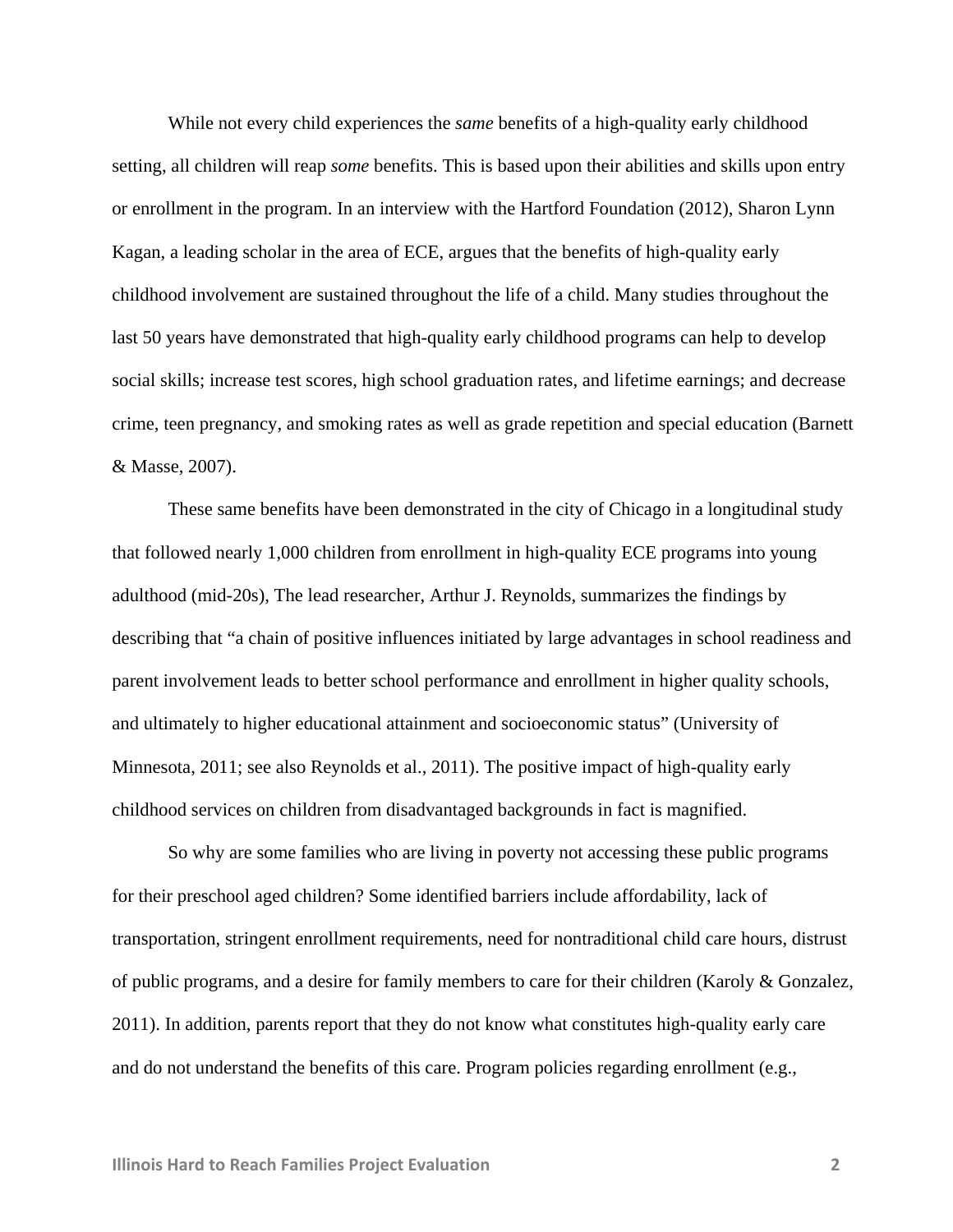While not every child experiences the *same* benefits of a high-quality early childhood setting, all children will reap *some* benefits. This is based upon their abilities and skills upon entry or enrollment in the program. In an interview with the Hartford Foundation (2012), Sharon Lynn Kagan, a leading scholar in the area of ECE, argues that the benefits of high-quality early childhood involvement are sustained throughout the life of a child. Many studies throughout the last 50 years have demonstrated that high-quality early childhood programs can help to develop social skills; increase test scores, high school graduation rates, and lifetime earnings; and decrease crime, teen pregnancy, and smoking rates as well as grade repetition and special education (Barnett & Masse, 2007).

 These same benefits have been demonstrated in the city of Chicago in a longitudinal study that followed nearly 1,000 children from enrollment in high-quality ECE programs into young adulthood (mid-20s), The lead researcher, Arthur J. Reynolds, summarizes the findings by describing that "a chain of positive influences initiated by large advantages in school readiness and parent involvement leads to better school performance and enrollment in higher quality schools, and ultimately to higher educational attainment and socioeconomic status" (University of Minnesota, 2011; see also Reynolds et al., 2011). The positive impact of high-quality early childhood services on children from disadvantaged backgrounds in fact is magnified.

So why are some families who are living in poverty not accessing these public programs for their preschool aged children? Some identified barriers include affordability, lack of transportation, stringent enrollment requirements, need for nontraditional child care hours, distrust of public programs, and a desire for family members to care for their children (Karoly & Gonzalez, 2011). In addition, parents report that they do not know what constitutes high-quality early care and do not understand the benefits of this care. Program policies regarding enrollment (e.g.,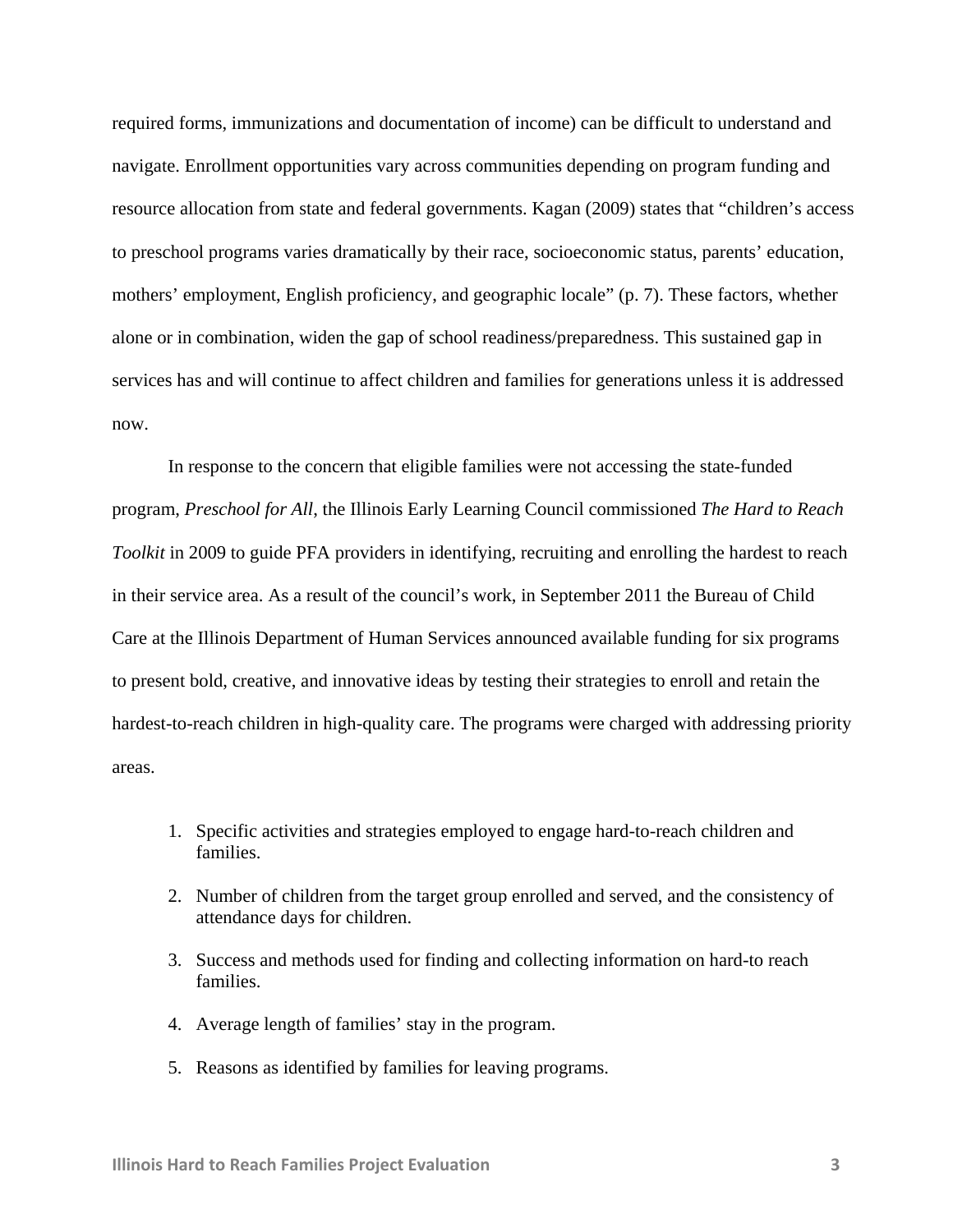required forms, immunizations and documentation of income) can be difficult to understand and navigate. Enrollment opportunities vary across communities depending on program funding and resource allocation from state and federal governments. Kagan (2009) states that "children's access to preschool programs varies dramatically by their race, socioeconomic status, parents' education, mothers' employment, English proficiency, and geographic locale" (p. 7). These factors, whether alone or in combination, widen the gap of school readiness/preparedness. This sustained gap in services has and will continue to affect children and families for generations unless it is addressed now.

In response to the concern that eligible families were not accessing the state-funded program, *Preschool for All*, the Illinois Early Learning Council commissioned *The Hard to Reach Toolkit* in 2009 to guide PFA providers in identifying, recruiting and enrolling the hardest to reach in their service area. As a result of the council's work, in September 2011 the Bureau of Child Care at the Illinois Department of Human Services announced available funding for six programs to present bold, creative, and innovative ideas by testing their strategies to enroll and retain the hardest-to-reach children in high-quality care. The programs were charged with addressing priority areas.

- 1. Specific activities and strategies employed to engage hard-to-reach children and families.
- 2. Number of children from the target group enrolled and served, and the consistency of attendance days for children.
- 3. Success and methods used for finding and collecting information on hard-to reach families.
- 4. Average length of families' stay in the program.
- 5. Reasons as identified by families for leaving programs.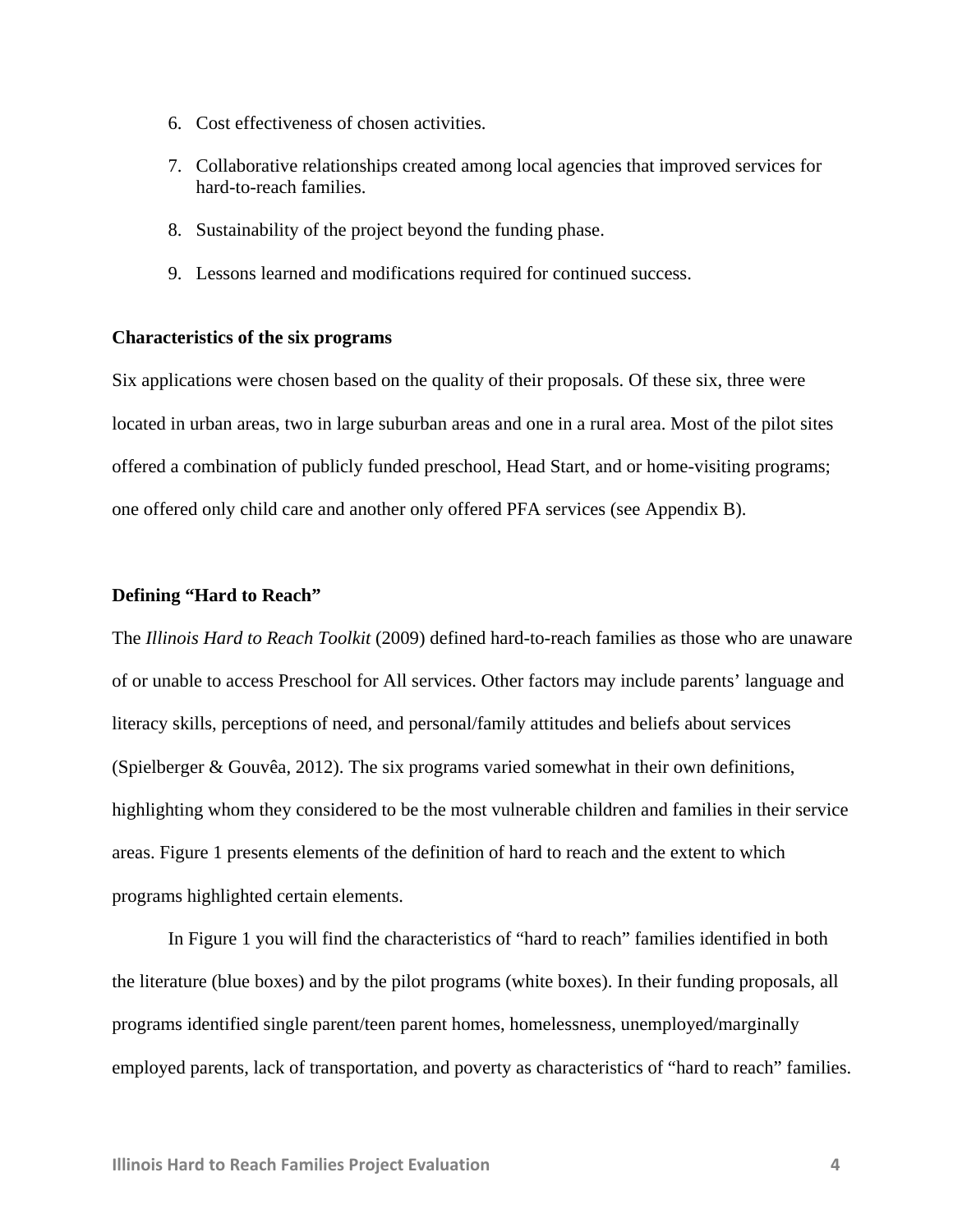- 6. Cost effectiveness of chosen activities.
- 7. Collaborative relationships created among local agencies that improved services for hard-to-reach families.
- 8. Sustainability of the project beyond the funding phase.
- 9. Lessons learned and modifications required for continued success.

#### **Characteristics of the six programs**

Six applications were chosen based on the quality of their proposals. Of these six, three were located in urban areas, two in large suburban areas and one in a rural area. Most of the pilot sites offered a combination of publicly funded preschool, Head Start, and or home-visiting programs; one offered only child care and another only offered PFA services (see Appendix B).

#### **Defining "Hard to Reach"**

The *Illinois Hard to Reach Toolkit* (2009) defined hard-to-reach families as those who are unaware of or unable to access Preschool for All services. Other factors may include parents' language and literacy skills, perceptions of need, and personal/family attitudes and beliefs about services (Spielberger & Gouvêa, 2012). The six programs varied somewhat in their own definitions, highlighting whom they considered to be the most vulnerable children and families in their service areas. Figure 1 presents elements of the definition of hard to reach and the extent to which programs highlighted certain elements.

In Figure 1 you will find the characteristics of "hard to reach" families identified in both the literature (blue boxes) and by the pilot programs (white boxes). In their funding proposals, all programs identified single parent/teen parent homes, homelessness, unemployed/marginally employed parents, lack of transportation, and poverty as characteristics of "hard to reach" families.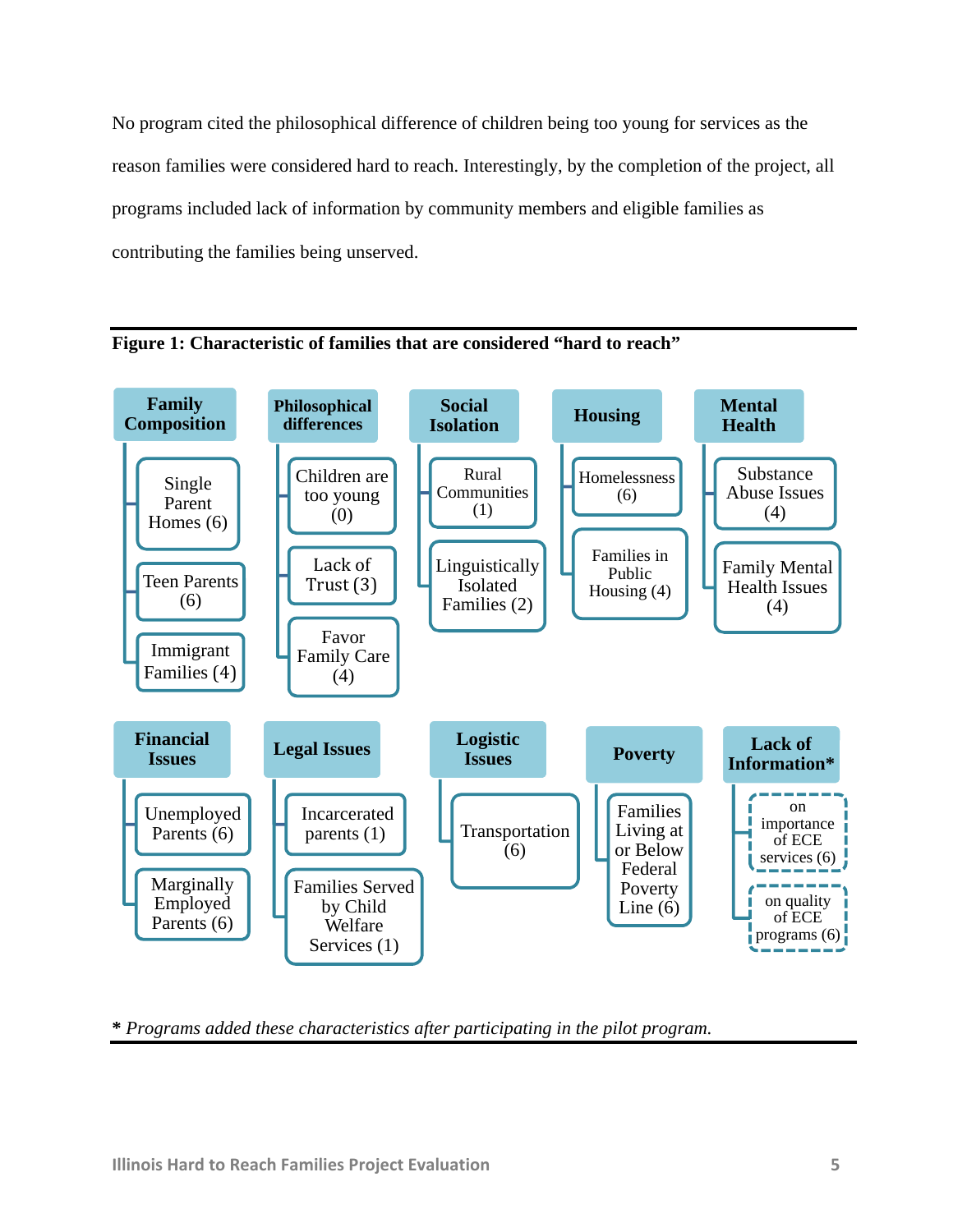No program cited the philosophical difference of children being too young for services as the reason families were considered hard to reach. Interestingly, by the completion of the project, all programs included lack of information by community members and eligible families as contributing the families being unserved.





**\*** *Programs added these characteristics after participating in the pilot program.*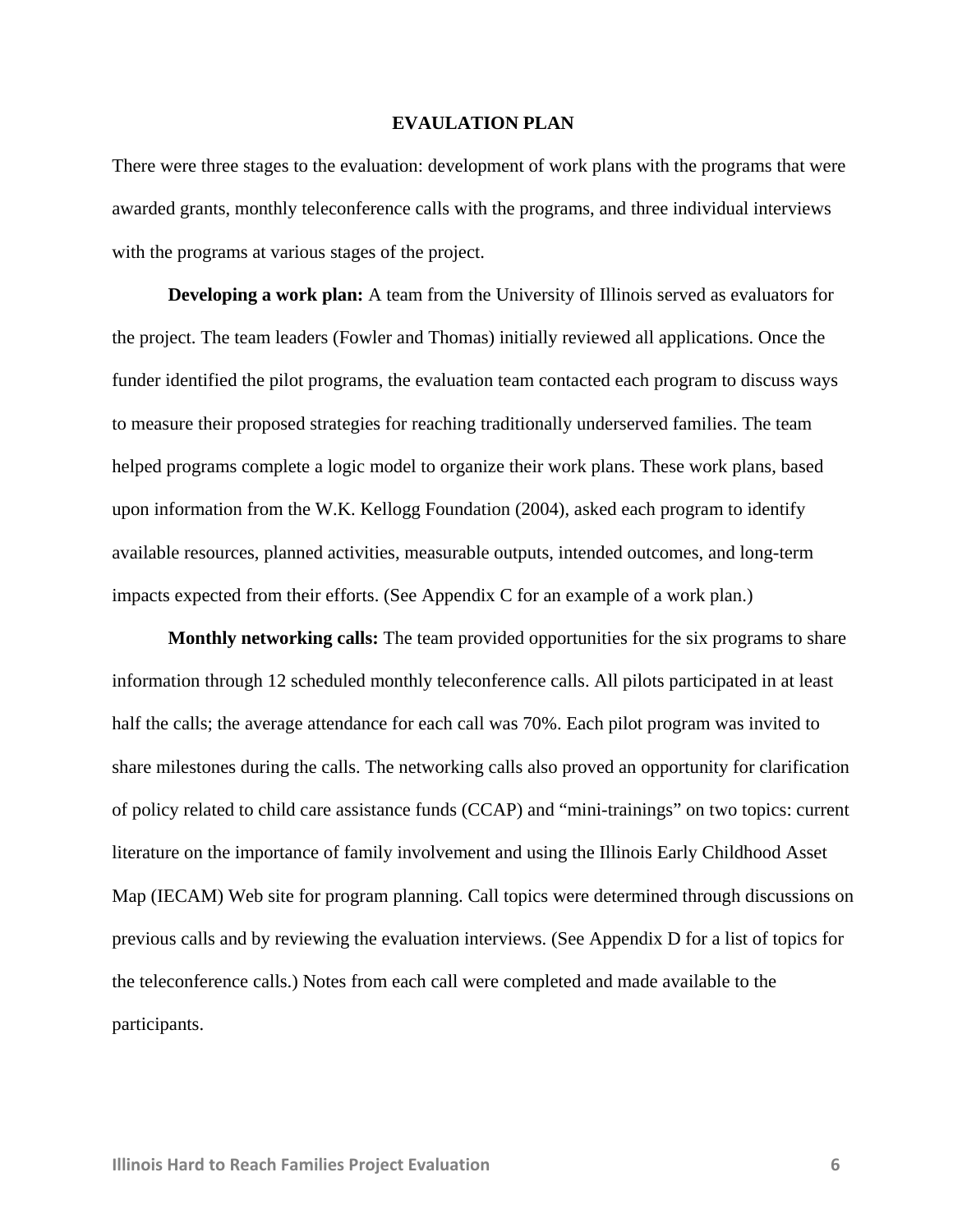#### **EVAULATION PLAN**

There were three stages to the evaluation: development of work plans with the programs that were awarded grants, monthly teleconference calls with the programs, and three individual interviews with the programs at various stages of the project.

**Developing a work plan:** A team from the University of Illinois served as evaluators for the project. The team leaders (Fowler and Thomas) initially reviewed all applications. Once the funder identified the pilot programs, the evaluation team contacted each program to discuss ways to measure their proposed strategies for reaching traditionally underserved families. The team helped programs complete a logic model to organize their work plans. These work plans, based upon information from the W.K. Kellogg Foundation (2004), asked each program to identify available resources, planned activities, measurable outputs, intended outcomes, and long-term impacts expected from their efforts. (See Appendix C for an example of a work plan.)

**Monthly networking calls:** The team provided opportunities for the six programs to share information through 12 scheduled monthly teleconference calls. All pilots participated in at least half the calls; the average attendance for each call was 70%. Each pilot program was invited to share milestones during the calls. The networking calls also proved an opportunity for clarification of policy related to child care assistance funds (CCAP) and "mini-trainings" on two topics: current literature on the importance of family involvement and using the Illinois Early Childhood Asset Map (IECAM) Web site for program planning. Call topics were determined through discussions on previous calls and by reviewing the evaluation interviews. (See Appendix D for a list of topics for the teleconference calls.) Notes from each call were completed and made available to the participants.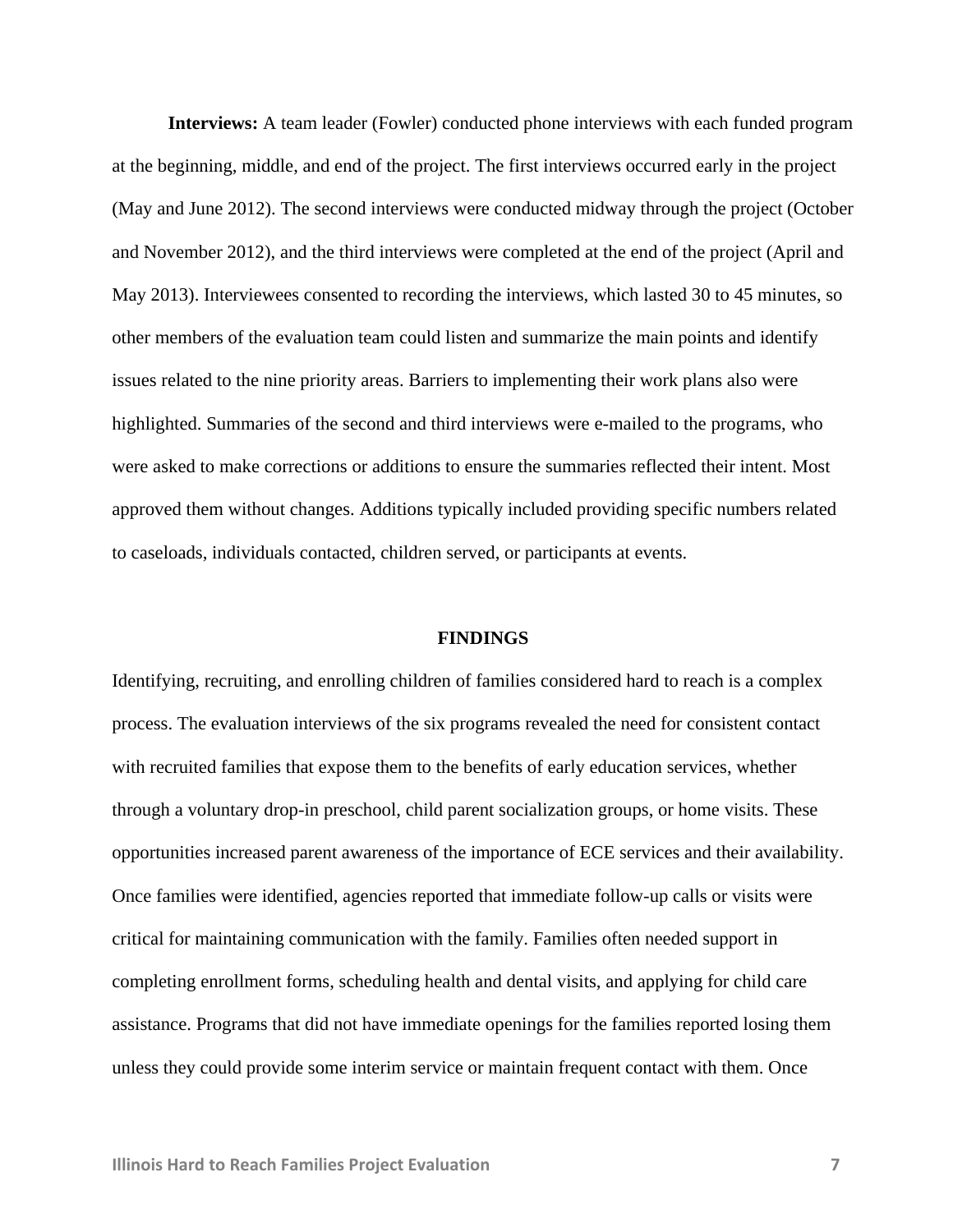**Interviews:** A team leader (Fowler) conducted phone interviews with each funded program at the beginning, middle, and end of the project. The first interviews occurred early in the project (May and June 2012). The second interviews were conducted midway through the project (October and November 2012), and the third interviews were completed at the end of the project (April and May 2013). Interviewees consented to recording the interviews, which lasted 30 to 45 minutes, so other members of the evaluation team could listen and summarize the main points and identify issues related to the nine priority areas. Barriers to implementing their work plans also were highlighted. Summaries of the second and third interviews were e-mailed to the programs, who were asked to make corrections or additions to ensure the summaries reflected their intent. Most approved them without changes. Additions typically included providing specific numbers related to caseloads, individuals contacted, children served, or participants at events.

#### **FINDINGS**

Identifying, recruiting, and enrolling children of families considered hard to reach is a complex process. The evaluation interviews of the six programs revealed the need for consistent contact with recruited families that expose them to the benefits of early education services, whether through a voluntary drop-in preschool, child parent socialization groups, or home visits. These opportunities increased parent awareness of the importance of ECE services and their availability. Once families were identified, agencies reported that immediate follow-up calls or visits were critical for maintaining communication with the family. Families often needed support in completing enrollment forms, scheduling health and dental visits, and applying for child care assistance. Programs that did not have immediate openings for the families reported losing them unless they could provide some interim service or maintain frequent contact with them. Once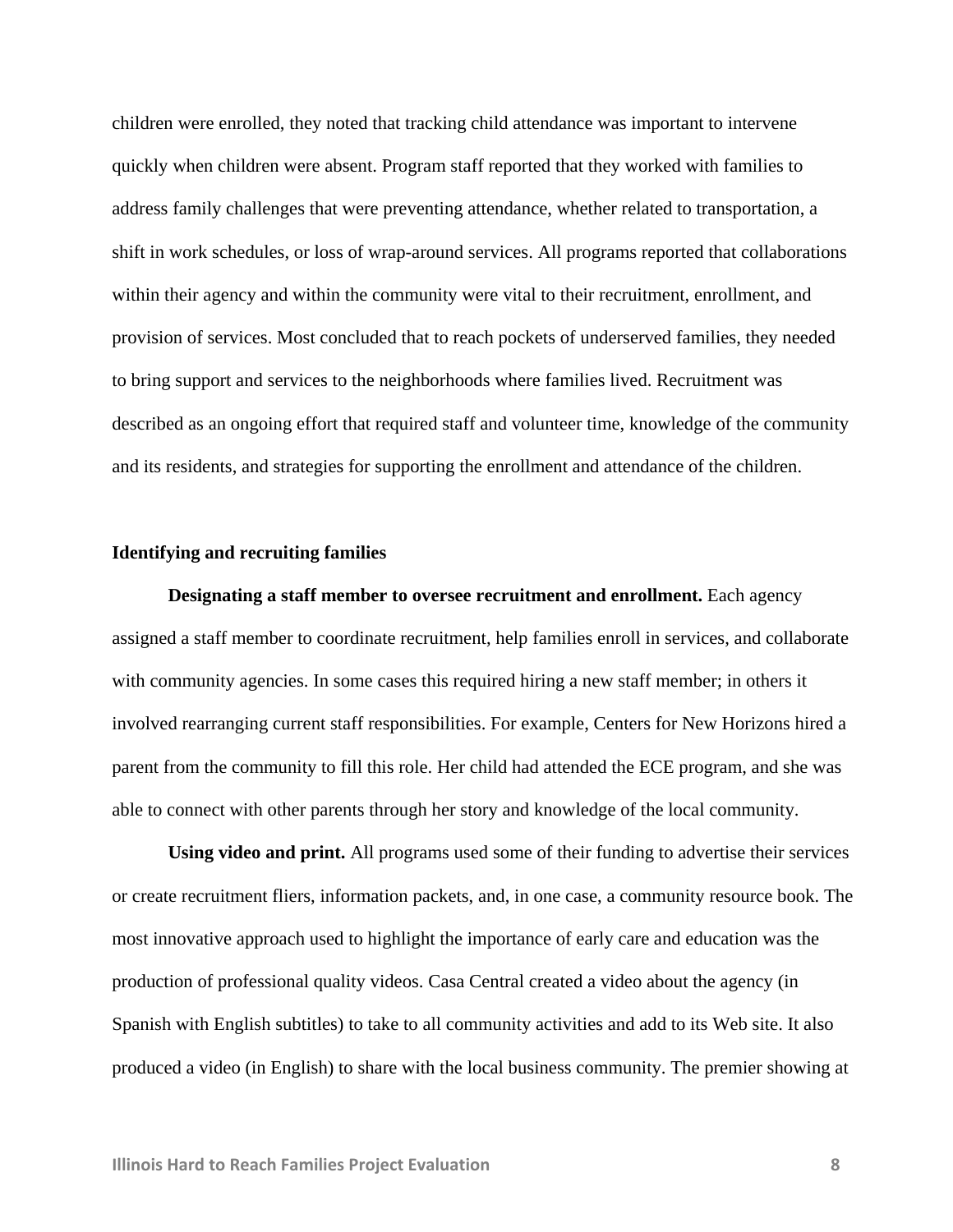children were enrolled, they noted that tracking child attendance was important to intervene quickly when children were absent. Program staff reported that they worked with families to address family challenges that were preventing attendance, whether related to transportation, a shift in work schedules, or loss of wrap-around services. All programs reported that collaborations within their agency and within the community were vital to their recruitment, enrollment, and provision of services. Most concluded that to reach pockets of underserved families, they needed to bring support and services to the neighborhoods where families lived. Recruitment was described as an ongoing effort that required staff and volunteer time, knowledge of the community and its residents, and strategies for supporting the enrollment and attendance of the children.

#### **Identifying and recruiting families**

**Designating a staff member to oversee recruitment and enrollment.** Each agency assigned a staff member to coordinate recruitment, help families enroll in services, and collaborate with community agencies. In some cases this required hiring a new staff member; in others it involved rearranging current staff responsibilities. For example, Centers for New Horizons hired a parent from the community to fill this role. Her child had attended the ECE program, and she was able to connect with other parents through her story and knowledge of the local community.

**Using video and print.** All programs used some of their funding to advertise their services or create recruitment fliers, information packets, and, in one case, a community resource book. The most innovative approach used to highlight the importance of early care and education was the production of professional quality videos. Casa Central created a video about the agency (in Spanish with English subtitles) to take to all community activities and add to its Web site. It also produced a video (in English) to share with the local business community. The premier showing at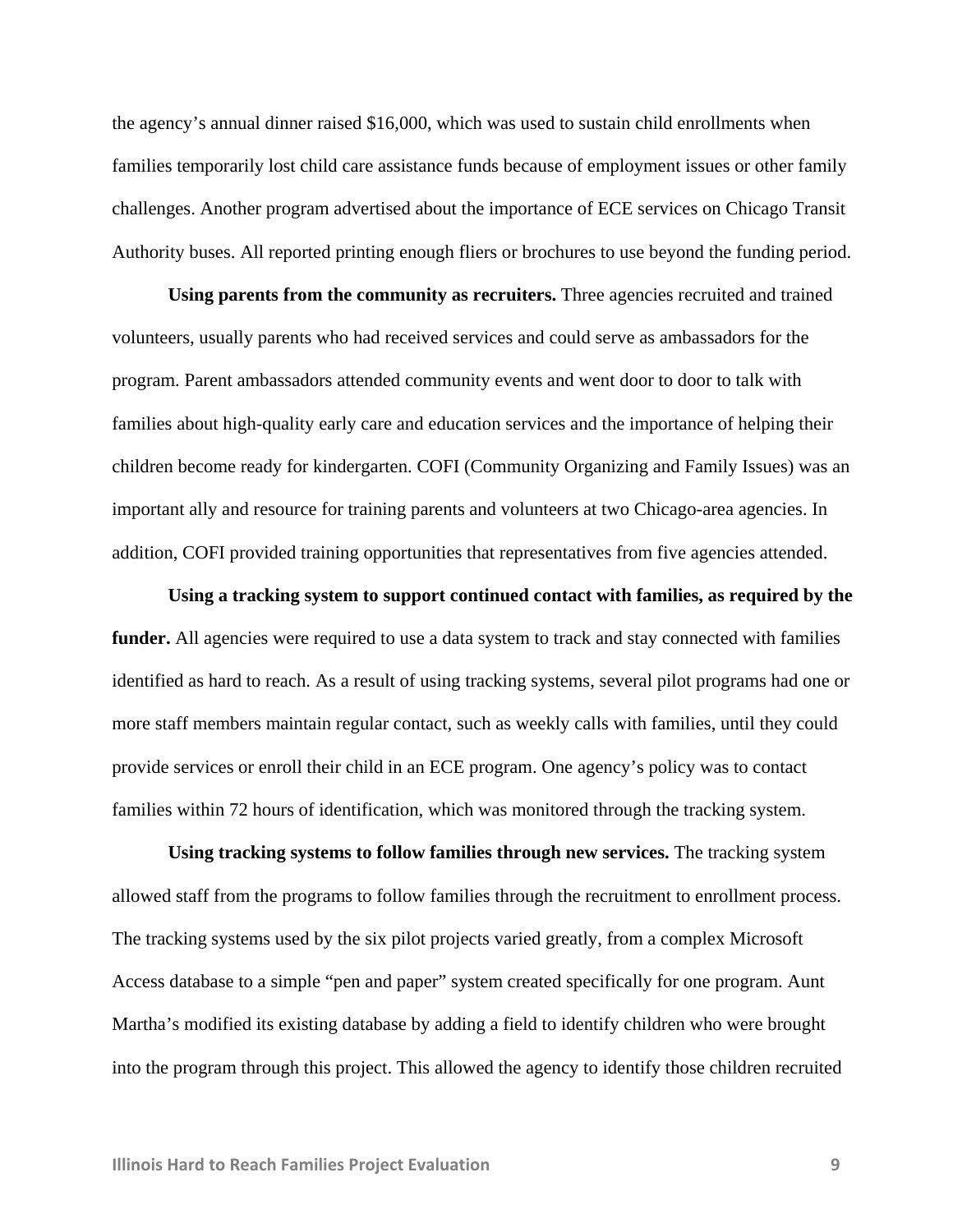the agency's annual dinner raised \$16,000, which was used to sustain child enrollments when families temporarily lost child care assistance funds because of employment issues or other family challenges. Another program advertised about the importance of ECE services on Chicago Transit Authority buses. All reported printing enough fliers or brochures to use beyond the funding period.

**Using parents from the community as recruiters.** Three agencies recruited and trained volunteers, usually parents who had received services and could serve as ambassadors for the program. Parent ambassadors attended community events and went door to door to talk with families about high-quality early care and education services and the importance of helping their children become ready for kindergarten. COFI (Community Organizing and Family Issues) was an important ally and resource for training parents and volunteers at two Chicago-area agencies. In addition, COFI provided training opportunities that representatives from five agencies attended.

**Using a tracking system to support continued contact with families, as required by the**  funder. All agencies were required to use a data system to track and stay connected with families identified as hard to reach. As a result of using tracking systems, several pilot programs had one or more staff members maintain regular contact, such as weekly calls with families, until they could provide services or enroll their child in an ECE program. One agency's policy was to contact families within 72 hours of identification, which was monitored through the tracking system.

**Using tracking systems to follow families through new services.** The tracking system allowed staff from the programs to follow families through the recruitment to enrollment process. The tracking systems used by the six pilot projects varied greatly, from a complex Microsoft Access database to a simple "pen and paper" system created specifically for one program. Aunt Martha's modified its existing database by adding a field to identify children who were brought into the program through this project. This allowed the agency to identify those children recruited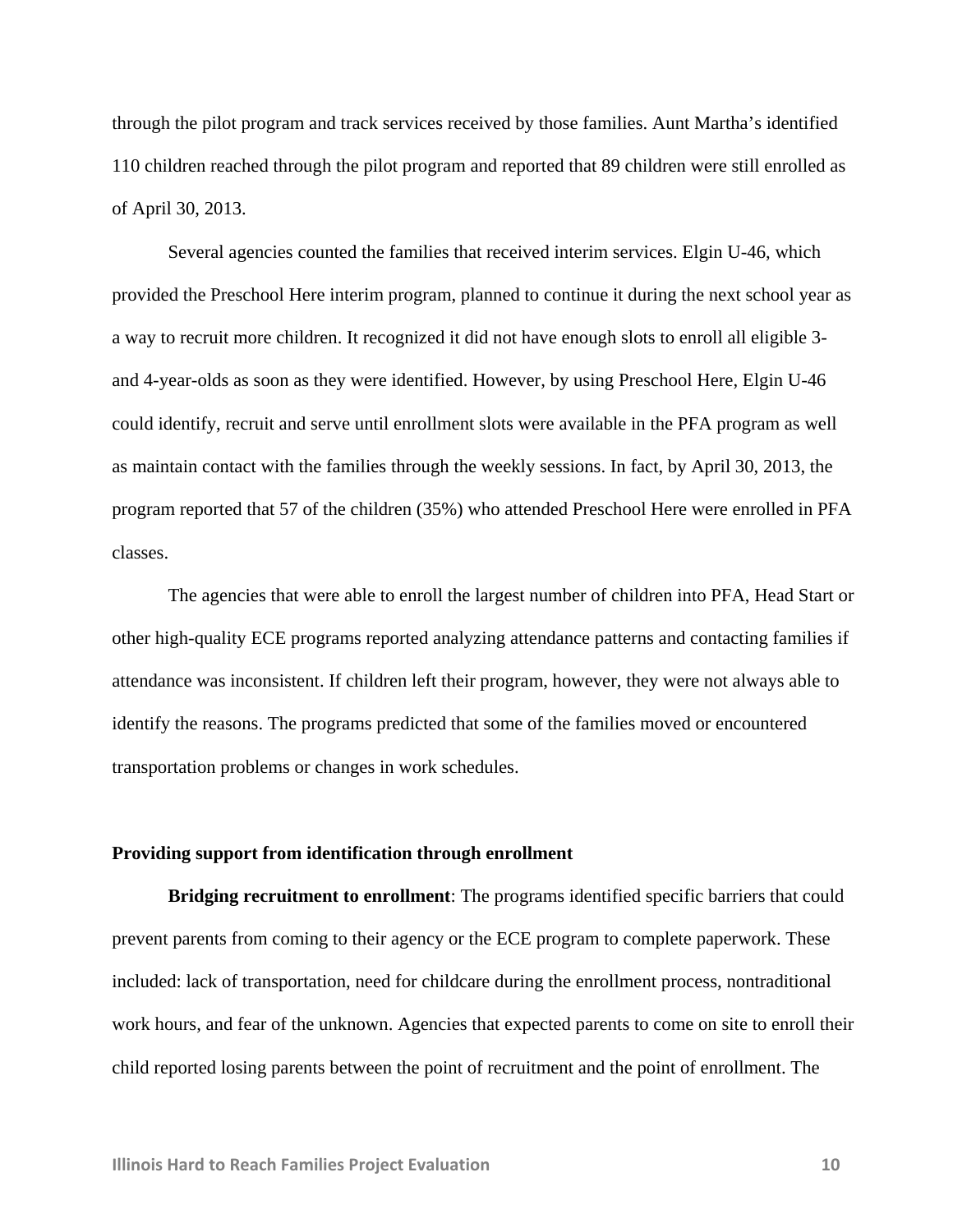through the pilot program and track services received by those families. Aunt Martha's identified 110 children reached through the pilot program and reported that 89 children were still enrolled as of April 30, 2013.

Several agencies counted the families that received interim services. Elgin U-46, which provided the Preschool Here interim program, planned to continue it during the next school year as a way to recruit more children. It recognized it did not have enough slots to enroll all eligible 3 and 4-year-olds as soon as they were identified. However, by using Preschool Here, Elgin U-46 could identify, recruit and serve until enrollment slots were available in the PFA program as well as maintain contact with the families through the weekly sessions. In fact, by April 30, 2013, the program reported that 57 of the children (35%) who attended Preschool Here were enrolled in PFA classes.

The agencies that were able to enroll the largest number of children into PFA, Head Start or other high-quality ECE programs reported analyzing attendance patterns and contacting families if attendance was inconsistent. If children left their program, however, they were not always able to identify the reasons. The programs predicted that some of the families moved or encountered transportation problems or changes in work schedules.

#### **Providing support from identification through enrollment**

**Bridging recruitment to enrollment**: The programs identified specific barriers that could prevent parents from coming to their agency or the ECE program to complete paperwork. These included: lack of transportation, need for childcare during the enrollment process, nontraditional work hours, and fear of the unknown. Agencies that expected parents to come on site to enroll their child reported losing parents between the point of recruitment and the point of enrollment. The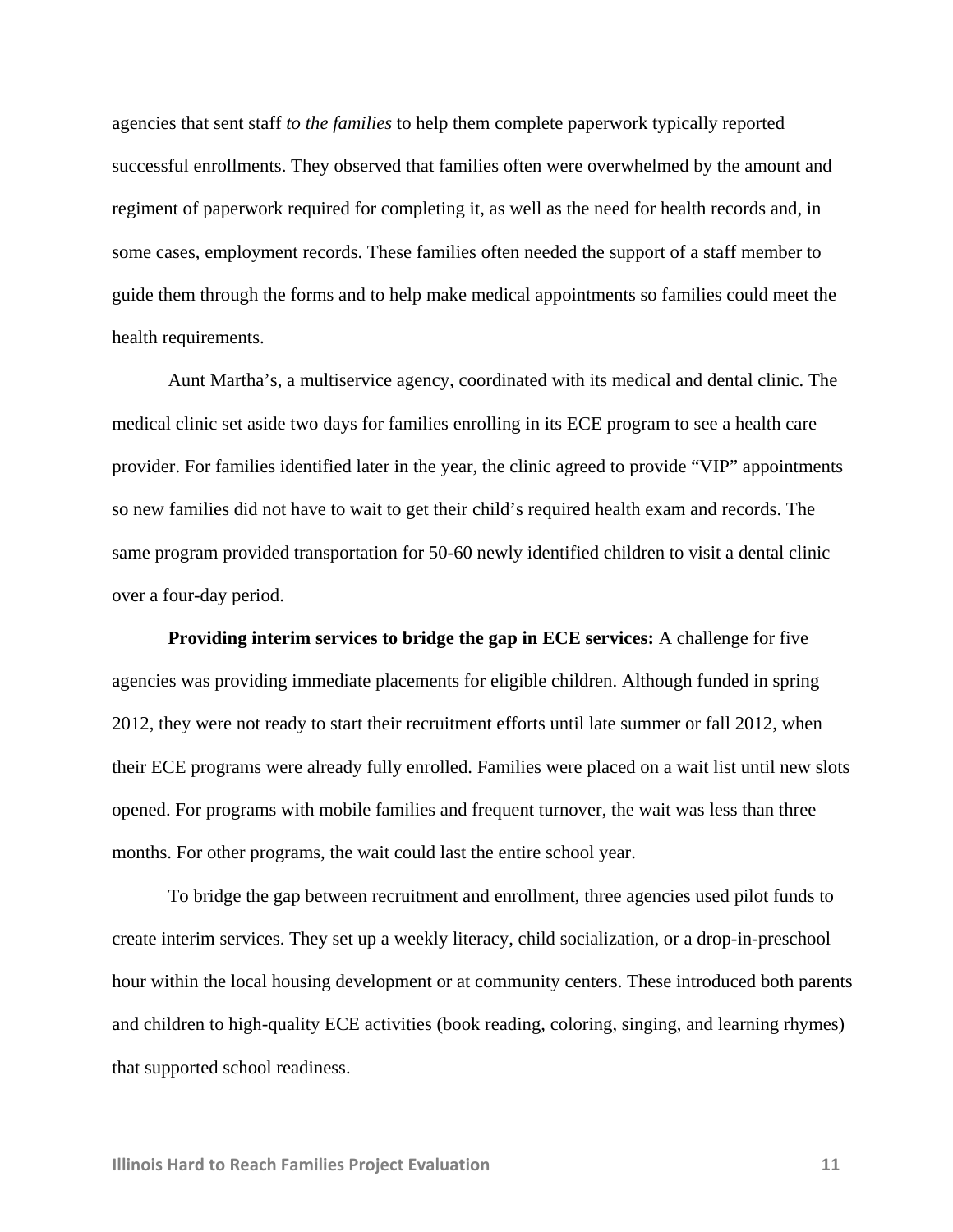agencies that sent staff *to the families* to help them complete paperwork typically reported successful enrollments. They observed that families often were overwhelmed by the amount and regiment of paperwork required for completing it, as well as the need for health records and, in some cases, employment records. These families often needed the support of a staff member to guide them through the forms and to help make medical appointments so families could meet the health requirements.

Aunt Martha's, a multiservice agency, coordinated with its medical and dental clinic. The medical clinic set aside two days for families enrolling in its ECE program to see a health care provider. For families identified later in the year, the clinic agreed to provide "VIP" appointments so new families did not have to wait to get their child's required health exam and records. The same program provided transportation for 50-60 newly identified children to visit a dental clinic over a four-day period.

**Providing interim services to bridge the gap in ECE services:** A challenge for five agencies was providing immediate placements for eligible children. Although funded in spring 2012, they were not ready to start their recruitment efforts until late summer or fall 2012, when their ECE programs were already fully enrolled. Families were placed on a wait list until new slots opened. For programs with mobile families and frequent turnover, the wait was less than three months. For other programs, the wait could last the entire school year.

To bridge the gap between recruitment and enrollment, three agencies used pilot funds to create interim services. They set up a weekly literacy, child socialization, or a drop-in-preschool hour within the local housing development or at community centers. These introduced both parents and children to high-quality ECE activities (book reading, coloring, singing, and learning rhymes) that supported school readiness.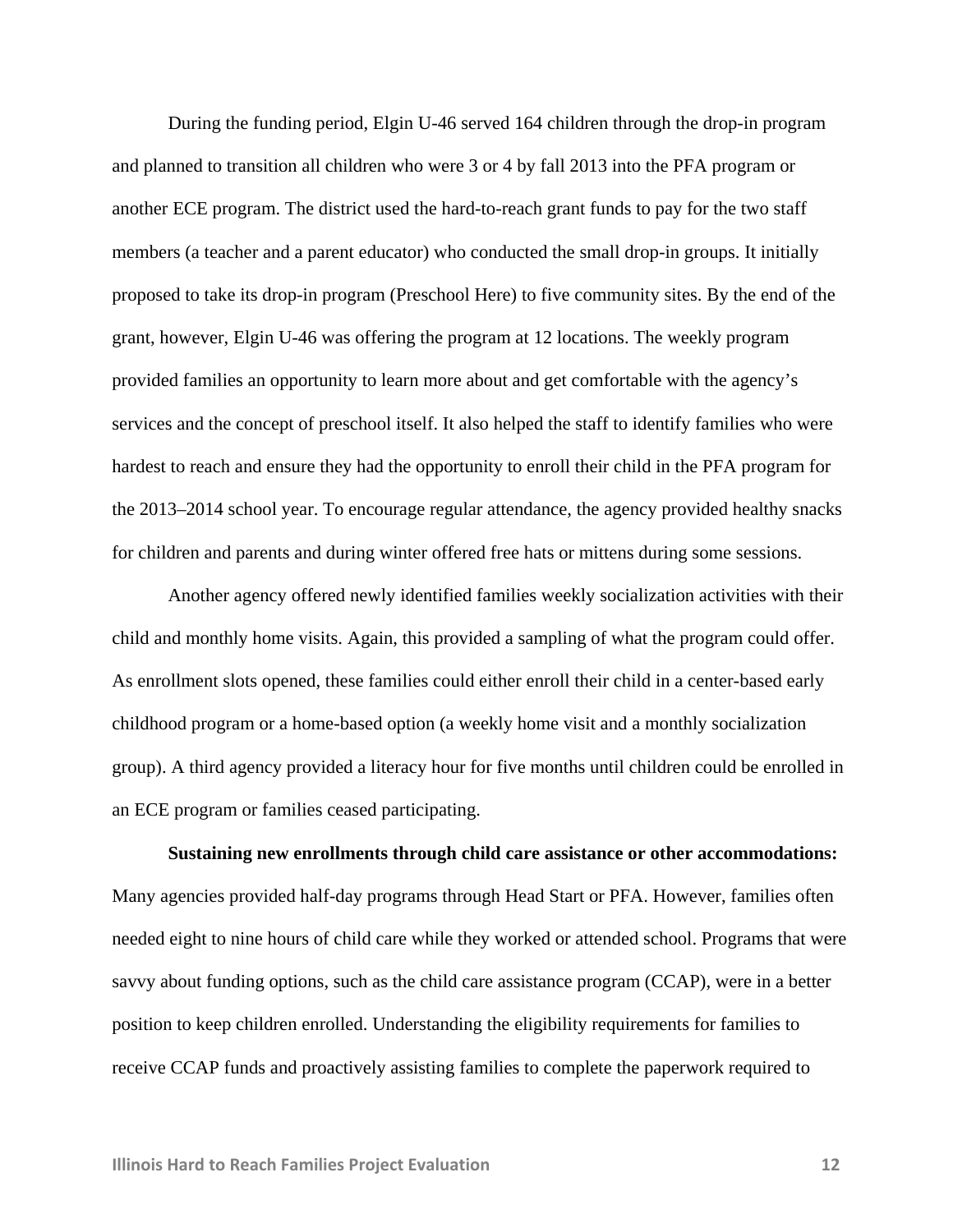During the funding period, Elgin U-46 served 164 children through the drop-in program and planned to transition all children who were 3 or 4 by fall 2013 into the PFA program or another ECE program. The district used the hard-to-reach grant funds to pay for the two staff members (a teacher and a parent educator) who conducted the small drop-in groups. It initially proposed to take its drop-in program (Preschool Here) to five community sites. By the end of the grant, however, Elgin U-46 was offering the program at 12 locations. The weekly program provided families an opportunity to learn more about and get comfortable with the agency's services and the concept of preschool itself. It also helped the staff to identify families who were hardest to reach and ensure they had the opportunity to enroll their child in the PFA program for the 2013–2014 school year. To encourage regular attendance, the agency provided healthy snacks for children and parents and during winter offered free hats or mittens during some sessions.

Another agency offered newly identified families weekly socialization activities with their child and monthly home visits. Again, this provided a sampling of what the program could offer. As enrollment slots opened, these families could either enroll their child in a center-based early childhood program or a home-based option (a weekly home visit and a monthly socialization group). A third agency provided a literacy hour for five months until children could be enrolled in an ECE program or families ceased participating.

**Sustaining new enrollments through child care assistance or other accommodations:** Many agencies provided half-day programs through Head Start or PFA. However, families often needed eight to nine hours of child care while they worked or attended school. Programs that were savvy about funding options, such as the child care assistance program (CCAP), were in a better position to keep children enrolled. Understanding the eligibility requirements for families to receive CCAP funds and proactively assisting families to complete the paperwork required to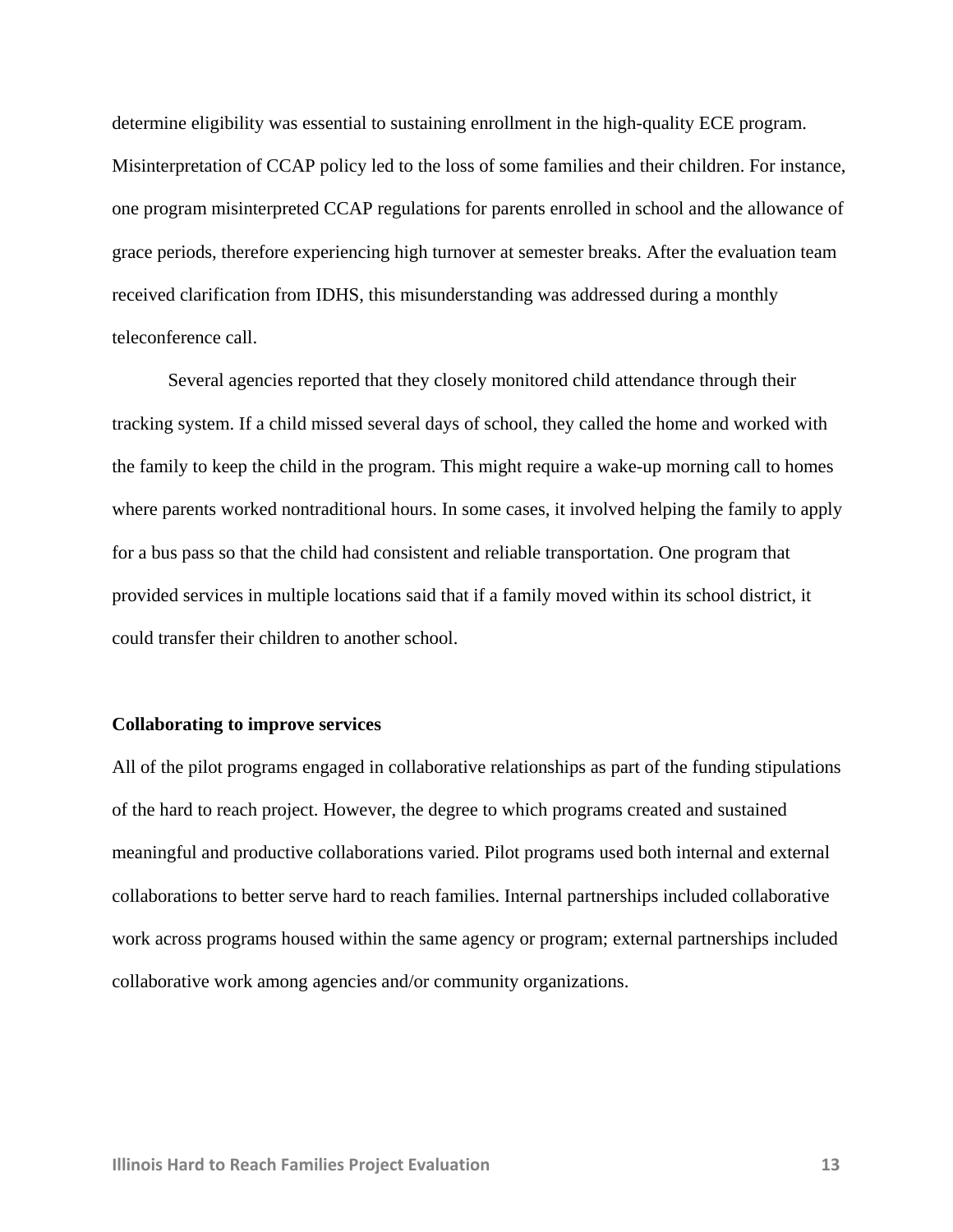determine eligibility was essential to sustaining enrollment in the high-quality ECE program. Misinterpretation of CCAP policy led to the loss of some families and their children. For instance, one program misinterpreted CCAP regulations for parents enrolled in school and the allowance of grace periods, therefore experiencing high turnover at semester breaks. After the evaluation team received clarification from IDHS, this misunderstanding was addressed during a monthly teleconference call.

Several agencies reported that they closely monitored child attendance through their tracking system. If a child missed several days of school, they called the home and worked with the family to keep the child in the program. This might require a wake-up morning call to homes where parents worked nontraditional hours. In some cases, it involved helping the family to apply for a bus pass so that the child had consistent and reliable transportation. One program that provided services in multiple locations said that if a family moved within its school district, it could transfer their children to another school.

#### **Collaborating to improve services**

All of the pilot programs engaged in collaborative relationships as part of the funding stipulations of the hard to reach project. However, the degree to which programs created and sustained meaningful and productive collaborations varied. Pilot programs used both internal and external collaborations to better serve hard to reach families. Internal partnerships included collaborative work across programs housed within the same agency or program; external partnerships included collaborative work among agencies and/or community organizations.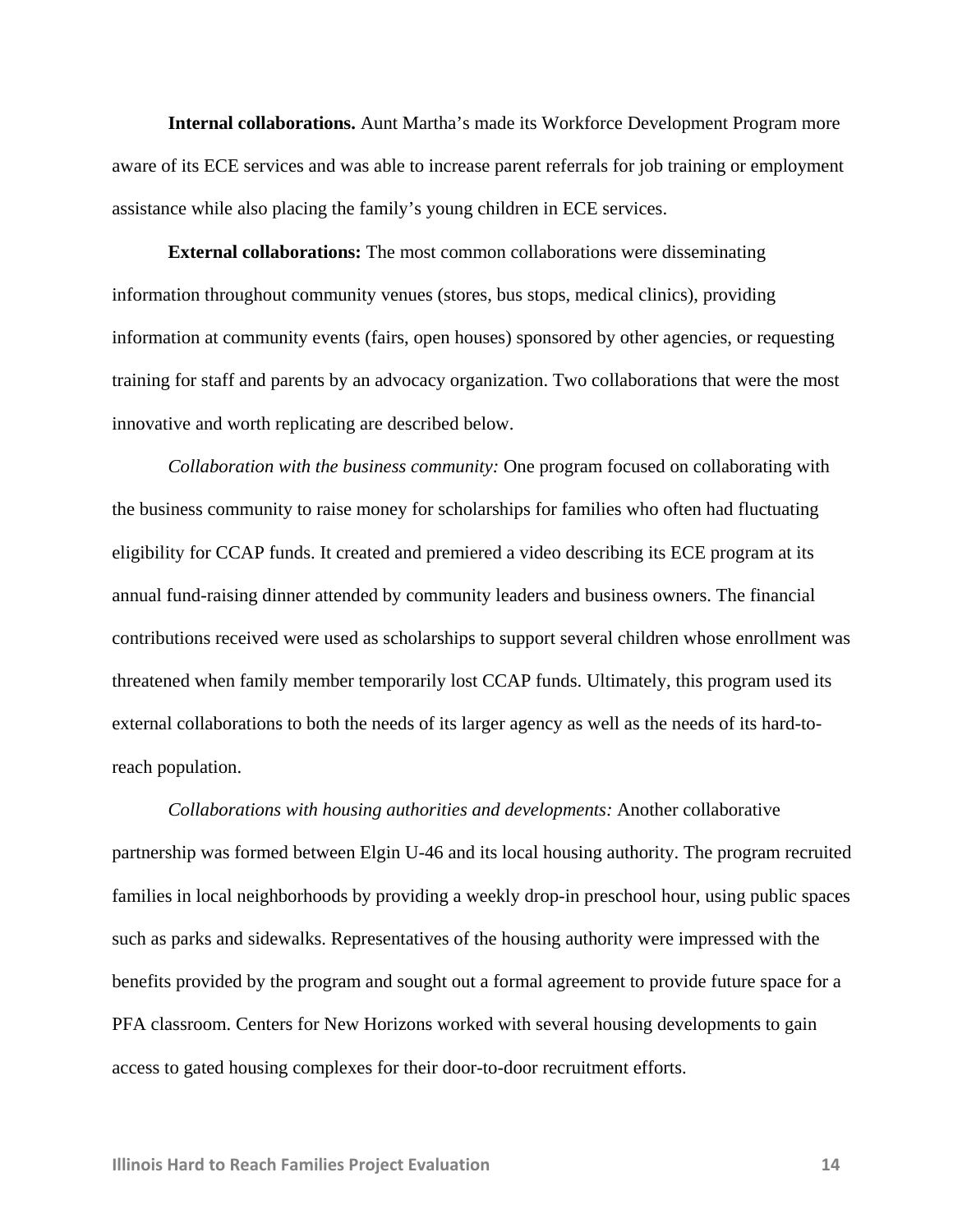**Internal collaborations.** Aunt Martha's made its Workforce Development Program more aware of its ECE services and was able to increase parent referrals for job training or employment assistance while also placing the family's young children in ECE services.

**External collaborations:** The most common collaborations were disseminating information throughout community venues (stores, bus stops, medical clinics), providing information at community events (fairs, open houses) sponsored by other agencies, or requesting training for staff and parents by an advocacy organization. Two collaborations that were the most innovative and worth replicating are described below.

*Collaboration with the business community:* One program focused on collaborating with the business community to raise money for scholarships for families who often had fluctuating eligibility for CCAP funds. It created and premiered a video describing its ECE program at its annual fund-raising dinner attended by community leaders and business owners. The financial contributions received were used as scholarships to support several children whose enrollment was threatened when family member temporarily lost CCAP funds. Ultimately, this program used its external collaborations to both the needs of its larger agency as well as the needs of its hard-toreach population.

*Collaborations with housing authorities and developments:* Another collaborative partnership was formed between Elgin U-46 and its local housing authority. The program recruited families in local neighborhoods by providing a weekly drop-in preschool hour, using public spaces such as parks and sidewalks. Representatives of the housing authority were impressed with the benefits provided by the program and sought out a formal agreement to provide future space for a PFA classroom. Centers for New Horizons worked with several housing developments to gain access to gated housing complexes for their door-to-door recruitment efforts.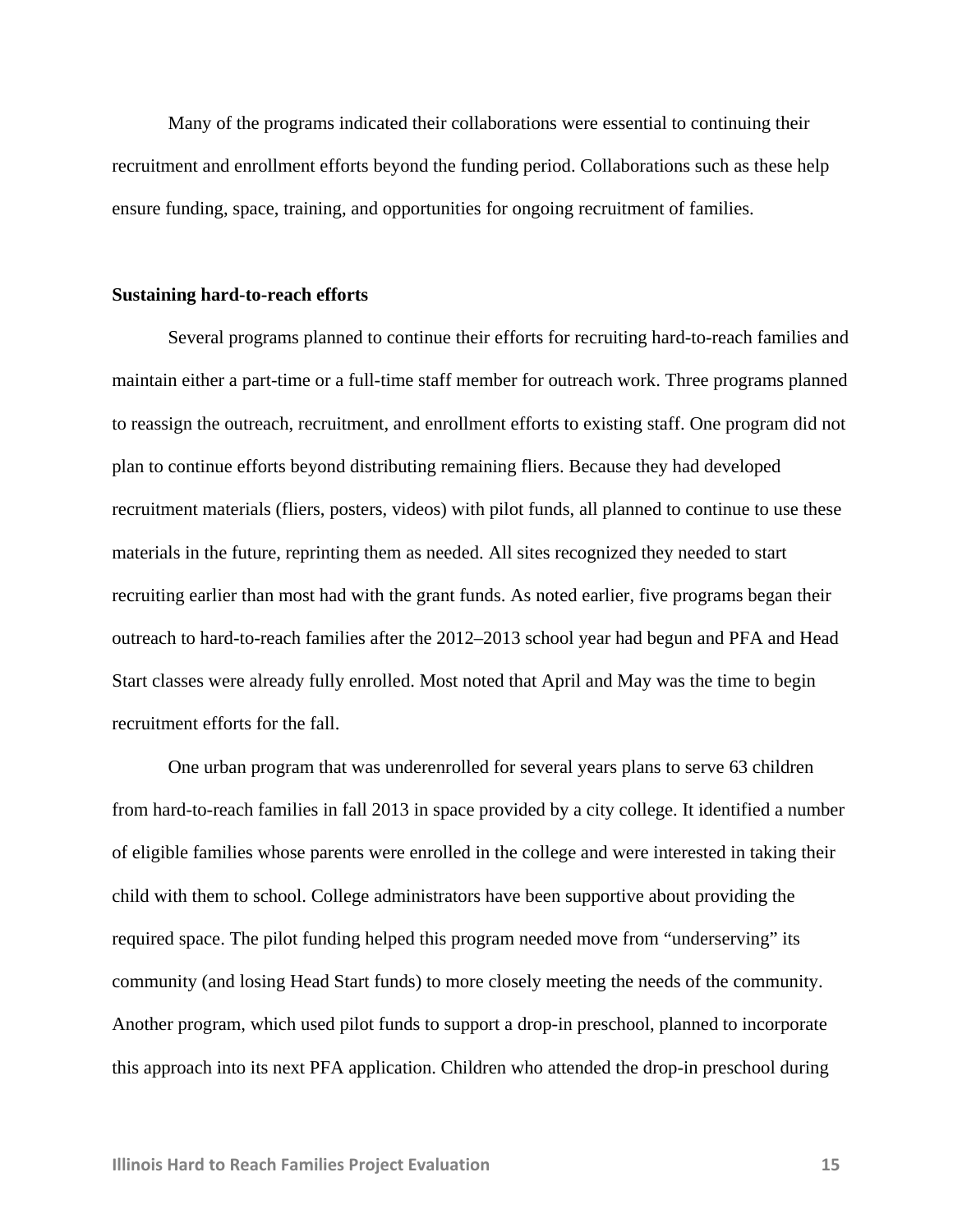Many of the programs indicated their collaborations were essential to continuing their recruitment and enrollment efforts beyond the funding period. Collaborations such as these help ensure funding, space, training, and opportunities for ongoing recruitment of families.

#### **Sustaining hard-to-reach efforts**

Several programs planned to continue their efforts for recruiting hard-to-reach families and maintain either a part-time or a full-time staff member for outreach work. Three programs planned to reassign the outreach, recruitment, and enrollment efforts to existing staff. One program did not plan to continue efforts beyond distributing remaining fliers. Because they had developed recruitment materials (fliers, posters, videos) with pilot funds, all planned to continue to use these materials in the future, reprinting them as needed. All sites recognized they needed to start recruiting earlier than most had with the grant funds. As noted earlier, five programs began their outreach to hard-to-reach families after the 2012–2013 school year had begun and PFA and Head Start classes were already fully enrolled. Most noted that April and May was the time to begin recruitment efforts for the fall.

One urban program that was underenrolled for several years plans to serve 63 children from hard-to-reach families in fall 2013 in space provided by a city college. It identified a number of eligible families whose parents were enrolled in the college and were interested in taking their child with them to school. College administrators have been supportive about providing the required space. The pilot funding helped this program needed move from "underserving" its community (and losing Head Start funds) to more closely meeting the needs of the community. Another program, which used pilot funds to support a drop-in preschool, planned to incorporate this approach into its next PFA application. Children who attended the drop-in preschool during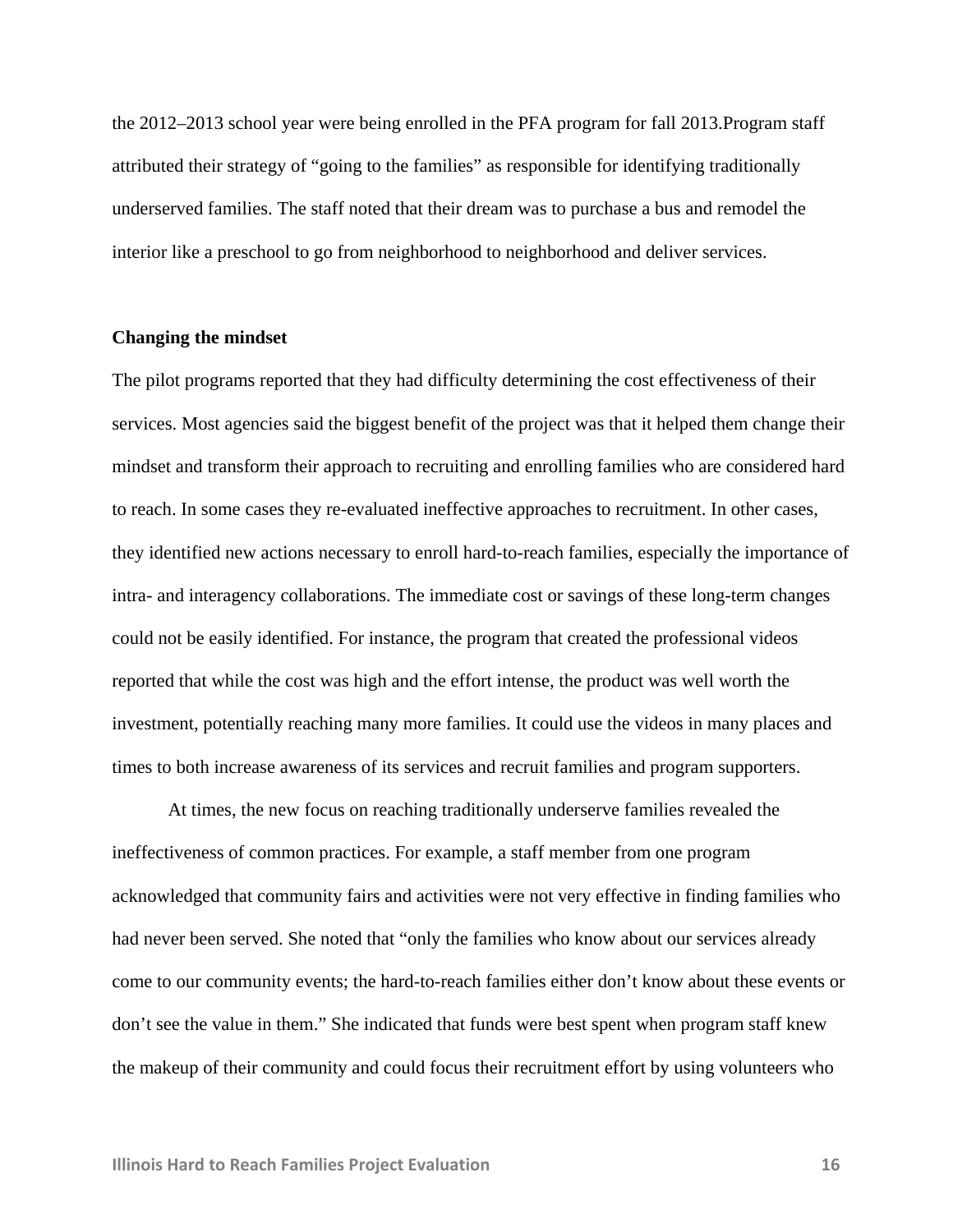the 2012–2013 school year were being enrolled in the PFA program for fall 2013.Program staff attributed their strategy of "going to the families" as responsible for identifying traditionally underserved families. The staff noted that their dream was to purchase a bus and remodel the interior like a preschool to go from neighborhood to neighborhood and deliver services.

#### **Changing the mindset**

The pilot programs reported that they had difficulty determining the cost effectiveness of their services. Most agencies said the biggest benefit of the project was that it helped them change their mindset and transform their approach to recruiting and enrolling families who are considered hard to reach. In some cases they re-evaluated ineffective approaches to recruitment. In other cases, they identified new actions necessary to enroll hard-to-reach families, especially the importance of intra- and interagency collaborations. The immediate cost or savings of these long-term changes could not be easily identified. For instance, the program that created the professional videos reported that while the cost was high and the effort intense, the product was well worth the investment, potentially reaching many more families. It could use the videos in many places and times to both increase awareness of its services and recruit families and program supporters.

At times, the new focus on reaching traditionally underserve families revealed the ineffectiveness of common practices. For example, a staff member from one program acknowledged that community fairs and activities were not very effective in finding families who had never been served. She noted that "only the families who know about our services already come to our community events; the hard-to-reach families either don't know about these events or don't see the value in them." She indicated that funds were best spent when program staff knew the makeup of their community and could focus their recruitment effort by using volunteers who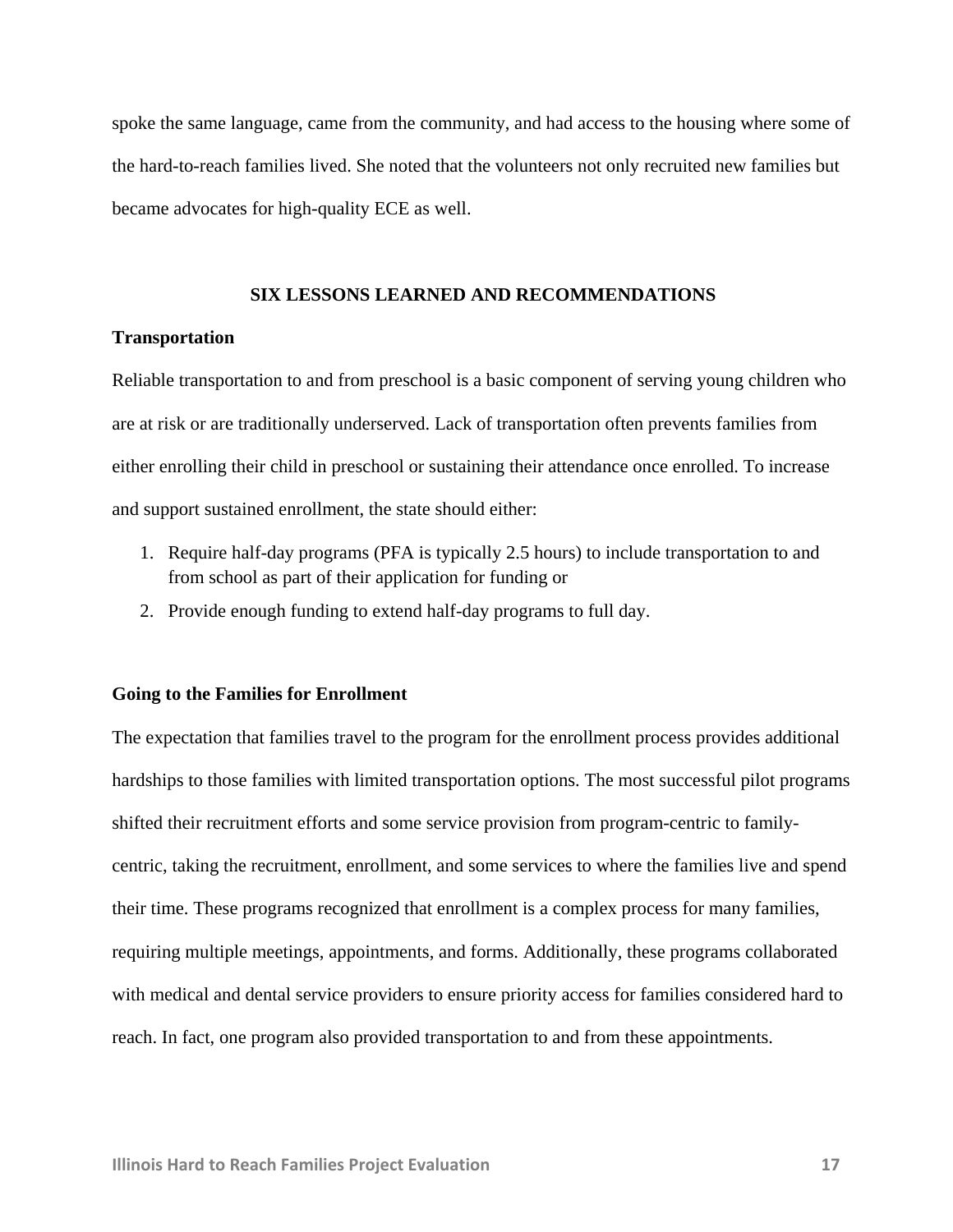spoke the same language, came from the community, and had access to the housing where some of the hard-to-reach families lived. She noted that the volunteers not only recruited new families but became advocates for high-quality ECE as well.

## **SIX LESSONS LEARNED AND RECOMMENDATIONS**

#### **Transportation**

Reliable transportation to and from preschool is a basic component of serving young children who are at risk or are traditionally underserved. Lack of transportation often prevents families from either enrolling their child in preschool or sustaining their attendance once enrolled. To increase and support sustained enrollment, the state should either:

- 1. Require half-day programs (PFA is typically 2.5 hours) to include transportation to and from school as part of their application for funding or
- 2. Provide enough funding to extend half-day programs to full day.

#### **Going to the Families for Enrollment**

The expectation that families travel to the program for the enrollment process provides additional hardships to those families with limited transportation options. The most successful pilot programs shifted their recruitment efforts and some service provision from program-centric to familycentric, taking the recruitment, enrollment, and some services to where the families live and spend their time. These programs recognized that enrollment is a complex process for many families, requiring multiple meetings, appointments, and forms. Additionally, these programs collaborated with medical and dental service providers to ensure priority access for families considered hard to reach. In fact, one program also provided transportation to and from these appointments.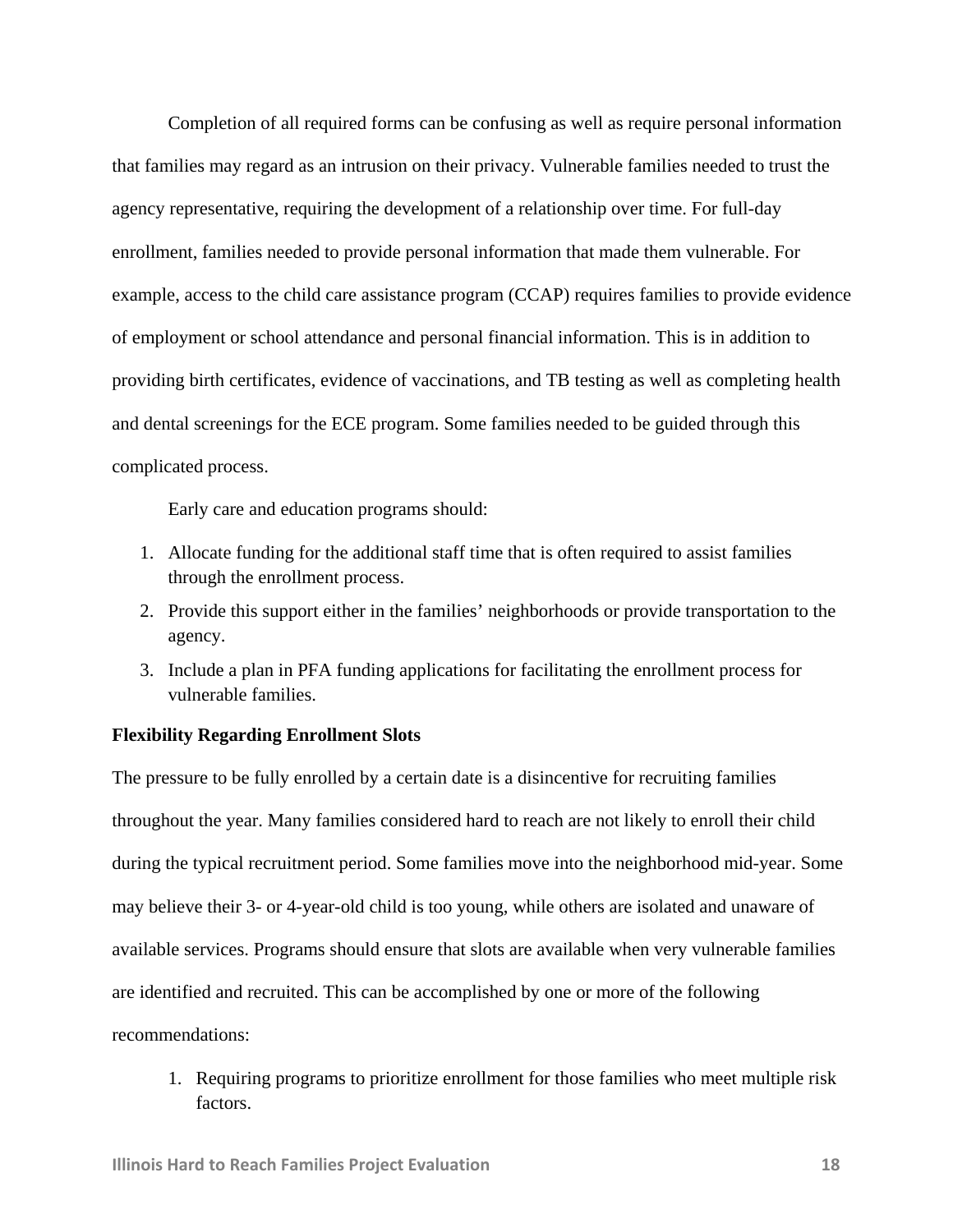Completion of all required forms can be confusing as well as require personal information that families may regard as an intrusion on their privacy. Vulnerable families needed to trust the agency representative, requiring the development of a relationship over time. For full-day enrollment, families needed to provide personal information that made them vulnerable. For example, access to the child care assistance program (CCAP) requires families to provide evidence of employment or school attendance and personal financial information. This is in addition to providing birth certificates, evidence of vaccinations, and TB testing as well as completing health and dental screenings for the ECE program. Some families needed to be guided through this complicated process.

Early care and education programs should:

- 1. Allocate funding for the additional staff time that is often required to assist families through the enrollment process.
- 2. Provide this support either in the families' neighborhoods or provide transportation to the agency.
- 3. Include a plan in PFA funding applications for facilitating the enrollment process for vulnerable families.

## **Flexibility Regarding Enrollment Slots**

The pressure to be fully enrolled by a certain date is a disincentive for recruiting families throughout the year. Many families considered hard to reach are not likely to enroll their child during the typical recruitment period. Some families move into the neighborhood mid-year. Some may believe their 3- or 4-year-old child is too young, while others are isolated and unaware of available services. Programs should ensure that slots are available when very vulnerable families are identified and recruited. This can be accomplished by one or more of the following recommendations:

1. Requiring programs to prioritize enrollment for those families who meet multiple risk factors.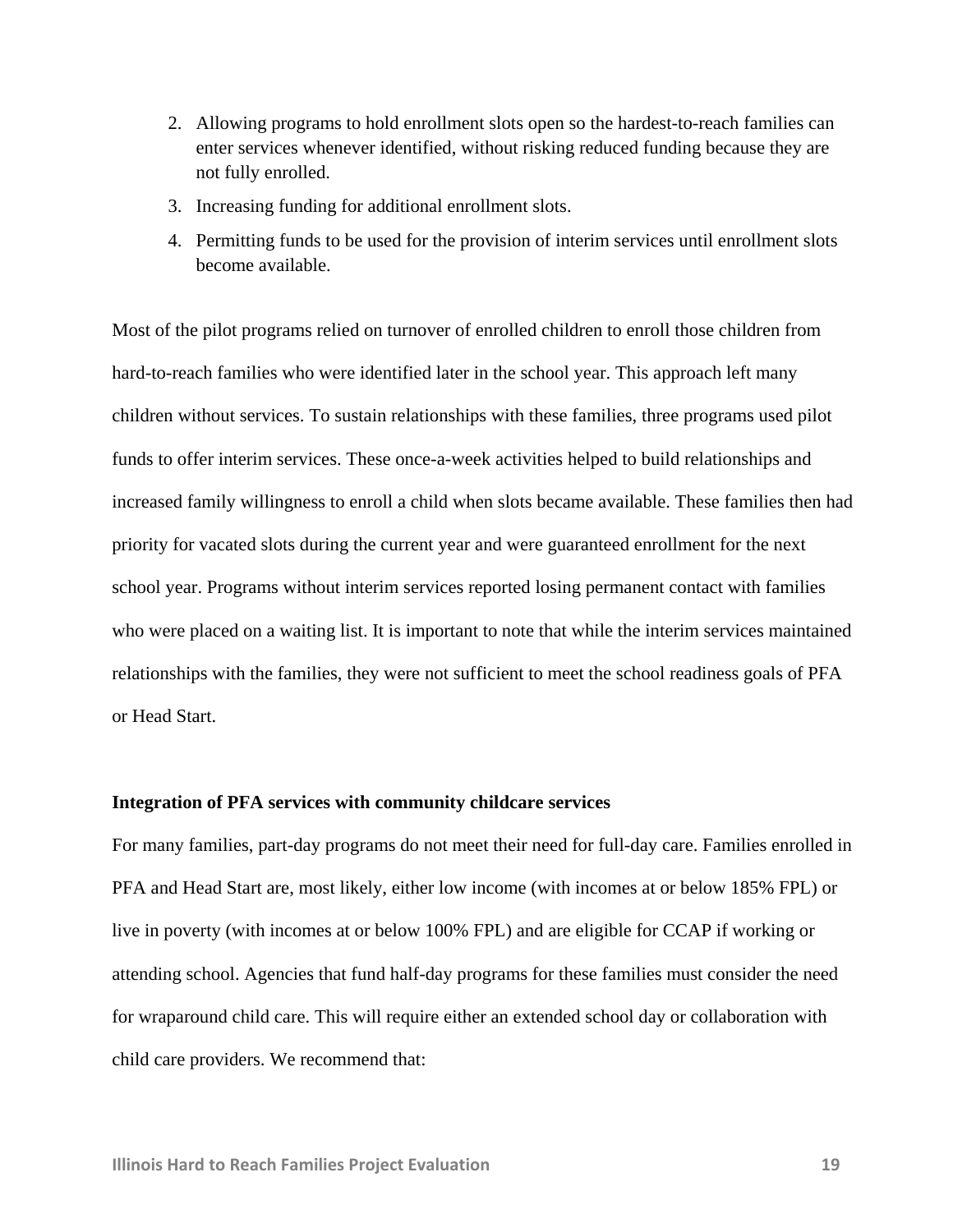- 2. Allowing programs to hold enrollment slots open so the hardest-to-reach families can enter services whenever identified, without risking reduced funding because they are not fully enrolled.
- 3. Increasing funding for additional enrollment slots.
- 4. Permitting funds to be used for the provision of interim services until enrollment slots become available.

Most of the pilot programs relied on turnover of enrolled children to enroll those children from hard-to-reach families who were identified later in the school year. This approach left many children without services. To sustain relationships with these families, three programs used pilot funds to offer interim services. These once-a-week activities helped to build relationships and increased family willingness to enroll a child when slots became available. These families then had priority for vacated slots during the current year and were guaranteed enrollment for the next school year. Programs without interim services reported losing permanent contact with families who were placed on a waiting list. It is important to note that while the interim services maintained relationships with the families, they were not sufficient to meet the school readiness goals of PFA or Head Start.

#### **Integration of PFA services with community childcare services**

For many families, part-day programs do not meet their need for full-day care. Families enrolled in PFA and Head Start are, most likely, either low income (with incomes at or below 185% FPL) or live in poverty (with incomes at or below 100% FPL) and are eligible for CCAP if working or attending school. Agencies that fund half-day programs for these families must consider the need for wraparound child care. This will require either an extended school day or collaboration with child care providers. We recommend that: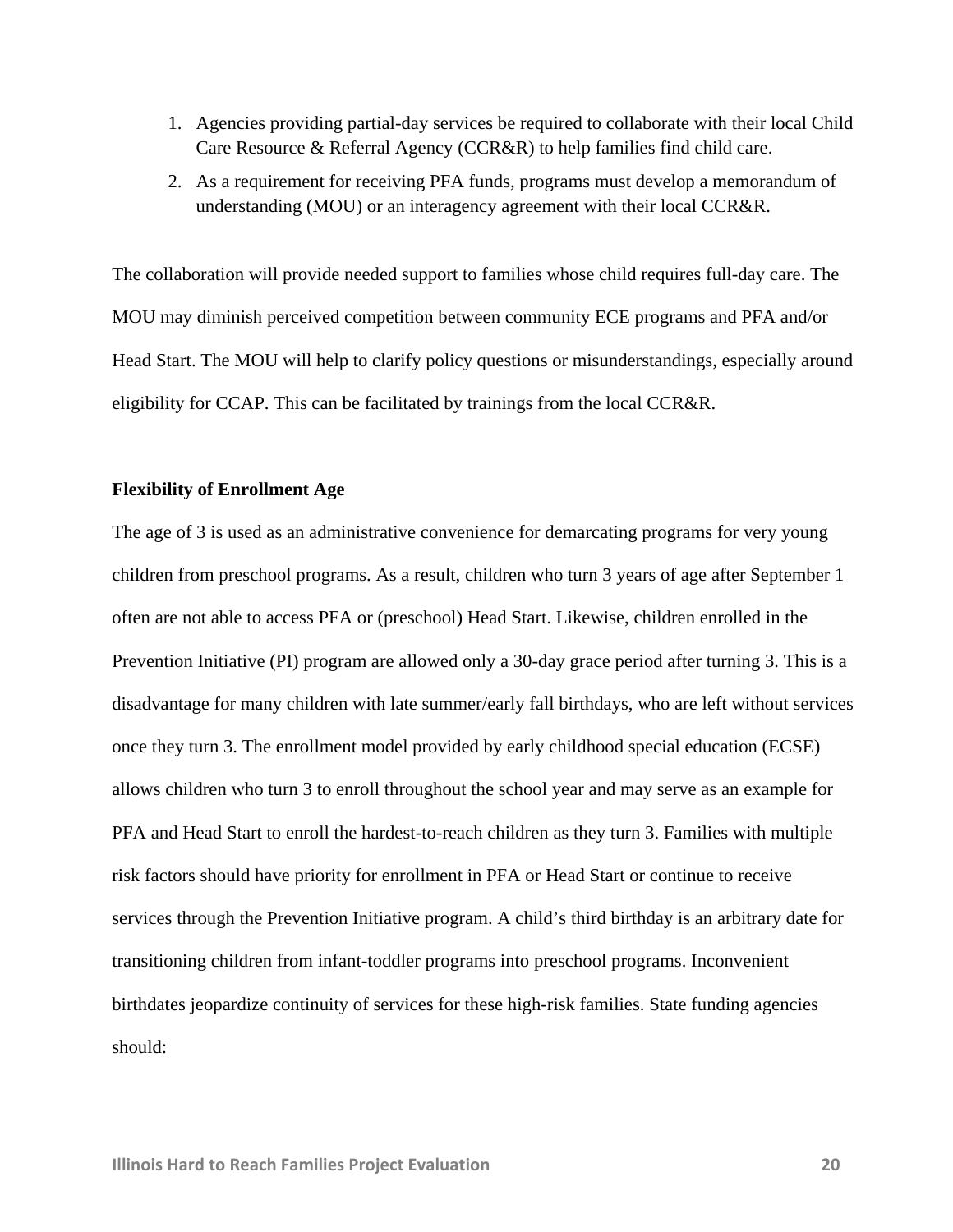- 1. Agencies providing partial-day services be required to collaborate with their local Child Care Resource & Referral Agency (CCR&R) to help families find child care.
- 2. As a requirement for receiving PFA funds, programs must develop a memorandum of understanding (MOU) or an interagency agreement with their local CCR&R.

The collaboration will provide needed support to families whose child requires full-day care. The MOU may diminish perceived competition between community ECE programs and PFA and/or Head Start. The MOU will help to clarify policy questions or misunderstandings, especially around eligibility for CCAP. This can be facilitated by trainings from the local CCR&R.

#### **Flexibility of Enrollment Age**

The age of 3 is used as an administrative convenience for demarcating programs for very young children from preschool programs. As a result, children who turn 3 years of age after September 1 often are not able to access PFA or (preschool) Head Start. Likewise, children enrolled in the Prevention Initiative (PI) program are allowed only a 30-day grace period after turning 3. This is a disadvantage for many children with late summer/early fall birthdays, who are left without services once they turn 3. The enrollment model provided by early childhood special education (ECSE) allows children who turn 3 to enroll throughout the school year and may serve as an example for PFA and Head Start to enroll the hardest-to-reach children as they turn 3. Families with multiple risk factors should have priority for enrollment in PFA or Head Start or continue to receive services through the Prevention Initiative program. A child's third birthday is an arbitrary date for transitioning children from infant-toddler programs into preschool programs. Inconvenient birthdates jeopardize continuity of services for these high-risk families. State funding agencies should: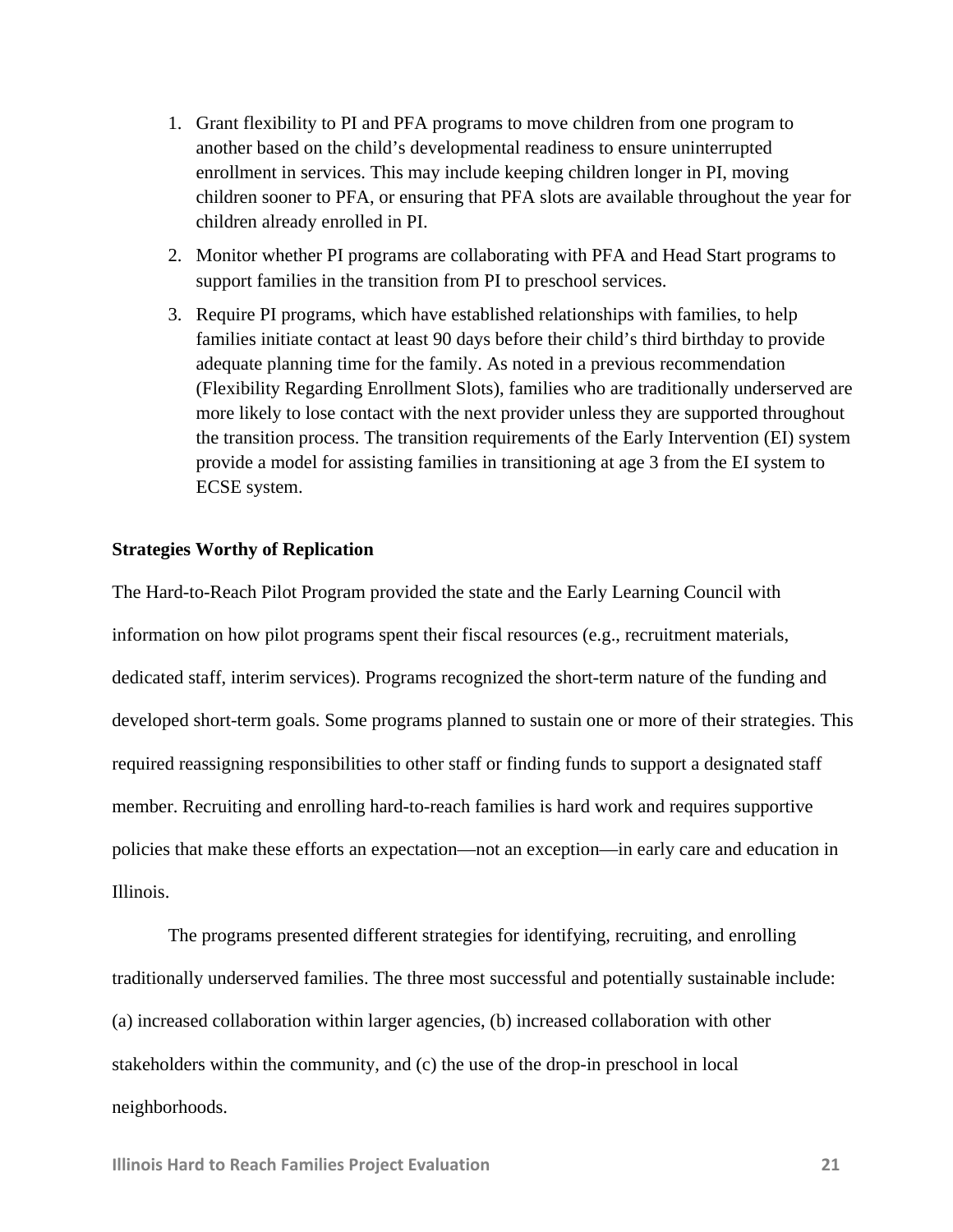- 1. Grant flexibility to PI and PFA programs to move children from one program to another based on the child's developmental readiness to ensure uninterrupted enrollment in services. This may include keeping children longer in PI, moving children sooner to PFA, or ensuring that PFA slots are available throughout the year for children already enrolled in PI.
- 2. Monitor whether PI programs are collaborating with PFA and Head Start programs to support families in the transition from PI to preschool services.
- 3. Require PI programs, which have established relationships with families, to help families initiate contact at least 90 days before their child's third birthday to provide adequate planning time for the family. As noted in a previous recommendation (Flexibility Regarding Enrollment Slots), families who are traditionally underserved are more likely to lose contact with the next provider unless they are supported throughout the transition process. The transition requirements of the Early Intervention (EI) system provide a model for assisting families in transitioning at age 3 from the EI system to ECSE system.

#### **Strategies Worthy of Replication**

The Hard-to-Reach Pilot Program provided the state and the Early Learning Council with information on how pilot programs spent their fiscal resources (e.g., recruitment materials, dedicated staff, interim services). Programs recognized the short-term nature of the funding and developed short-term goals. Some programs planned to sustain one or more of their strategies. This required reassigning responsibilities to other staff or finding funds to support a designated staff member. Recruiting and enrolling hard-to-reach families is hard work and requires supportive policies that make these efforts an expectation—not an exception—in early care and education in Illinois.

The programs presented different strategies for identifying, recruiting, and enrolling traditionally underserved families. The three most successful and potentially sustainable include: (a) increased collaboration within larger agencies, (b) increased collaboration with other stakeholders within the community, and (c) the use of the drop-in preschool in local neighborhoods.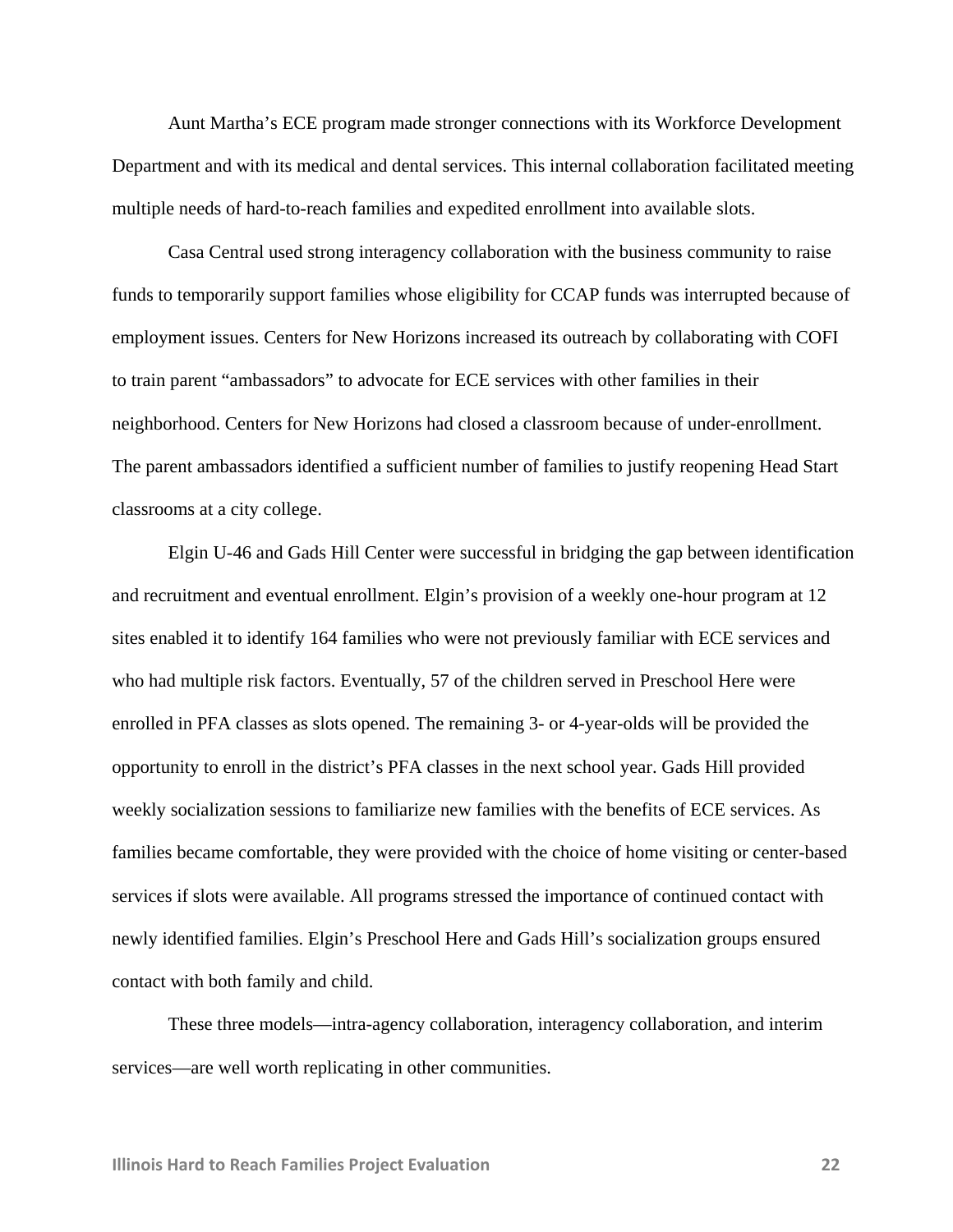Aunt Martha's ECE program made stronger connections with its Workforce Development Department and with its medical and dental services. This internal collaboration facilitated meeting multiple needs of hard-to-reach families and expedited enrollment into available slots.

Casa Central used strong interagency collaboration with the business community to raise funds to temporarily support families whose eligibility for CCAP funds was interrupted because of employment issues. Centers for New Horizons increased its outreach by collaborating with COFI to train parent "ambassadors" to advocate for ECE services with other families in their neighborhood. Centers for New Horizons had closed a classroom because of under-enrollment. The parent ambassadors identified a sufficient number of families to justify reopening Head Start classrooms at a city college.

Elgin U-46 and Gads Hill Center were successful in bridging the gap between identification and recruitment and eventual enrollment. Elgin's provision of a weekly one-hour program at 12 sites enabled it to identify 164 families who were not previously familiar with ECE services and who had multiple risk factors. Eventually, 57 of the children served in Preschool Here were enrolled in PFA classes as slots opened. The remaining 3- or 4-year-olds will be provided the opportunity to enroll in the district's PFA classes in the next school year. Gads Hill provided weekly socialization sessions to familiarize new families with the benefits of ECE services. As families became comfortable, they were provided with the choice of home visiting or center-based services if slots were available. All programs stressed the importance of continued contact with newly identified families. Elgin's Preschool Here and Gads Hill's socialization groups ensured contact with both family and child.

These three models—intra-agency collaboration, interagency collaboration, and interim services—are well worth replicating in other communities.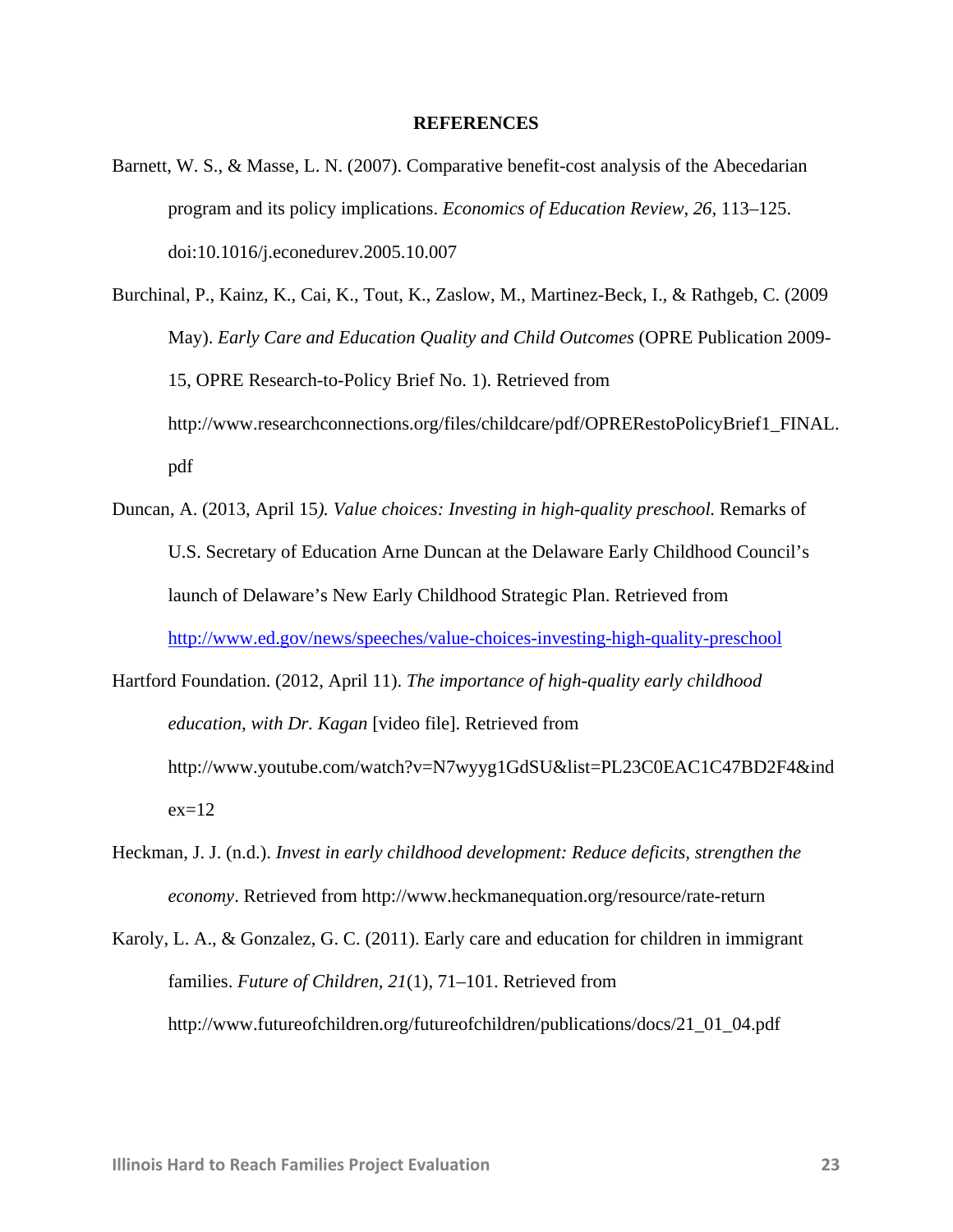#### **REFERENCES**

- Barnett, W. S., & Masse, L. N. (2007). Comparative benefit-cost analysis of the Abecedarian program and its policy implications. *Economics of Education Review*, *26*, 113–125. doi:10.1016/j.econedurev.2005.10.007
- Burchinal, P., Kainz, K., Cai, K., Tout, K., Zaslow, M., Martinez-Beck, I., & Rathgeb, C. (2009 May). *Early Care and Education Quality and Child Outcomes* (OPRE Publication 2009- 15, OPRE Research-to-Policy Brief No. 1). Retrieved from http://www.researchconnections.org/files/childcare/pdf/OPRERestoPolicyBrief1\_FINAL. pdf
- Duncan, A. (2013, April 15*). Value choices: Investing in high-quality preschool.* Remarks of U.S. Secretary of Education Arne Duncan at the Delaware Early Childhood Council's launch of Delaware's New Early Childhood Strategic Plan. Retrieved from http://www.ed.gov/news/speeches/value-choices-investing-high-quality-preschool
- Hartford Foundation. (2012, April 11). *The importance of high-quality early childhood education, with Dr. Kagan* [video file]. Retrieved from http://www.youtube.com/watch?v=N7wyyg1GdSU&list=PL23C0EAC1C47BD2F4&ind  $ex=12$
- Heckman, J. J. (n.d.). *Invest in early childhood development: Reduce deficits, strengthen the economy*. Retrieved from http://www.heckmanequation.org/resource/rate-return
- Karoly, L. A., & Gonzalez, G. C. (2011). Early care and education for children in immigrant families. *Future of Children, 21*(1), 71–101. Retrieved from http://www.futureofchildren.org/futureofchildren/publications/docs/21\_01\_04.pdf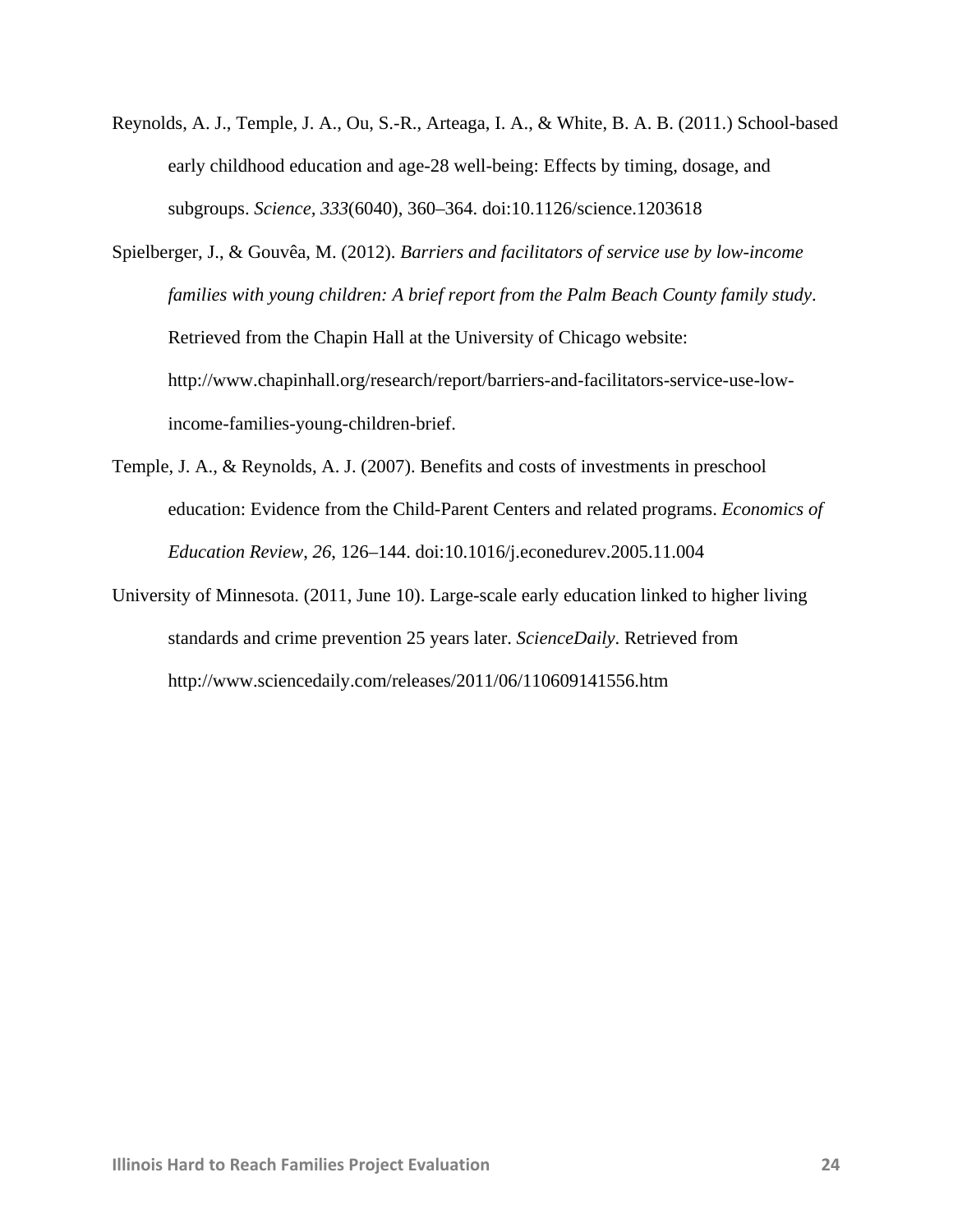- Reynolds, A. J., Temple, J. A., Ou, S.-R., Arteaga, I. A., & White, B. A. B. (2011.) School-based early childhood education and age-28 well-being: Effects by timing, dosage, and subgroups. *Science, 333*(6040), 360–364. doi:10.1126/science.1203618
- Spielberger, J., & Gouvêa, M. (2012). *Barriers and facilitators of service use by low-income families with young children: A brief report from the Palm Beach County family study*. Retrieved from the Chapin Hall at the University of Chicago website: http://www.chapinhall.org/research/report/barriers-and-facilitators-service-use-lowincome-families-young-children-brief.
- Temple, J. A., & Reynolds, A. J. (2007). Benefits and costs of investments in preschool education: Evidence from the Child-Parent Centers and related programs. *Economics of Education Review*, *26*, 126–144. doi:10.1016/j.econedurev.2005.11.004
- University of Minnesota. (2011, June 10). Large-scale early education linked to higher living standards and crime prevention 25 years later. *ScienceDaily*. Retrieved from http://www.sciencedaily.com/releases/2011/06/110609141556.htm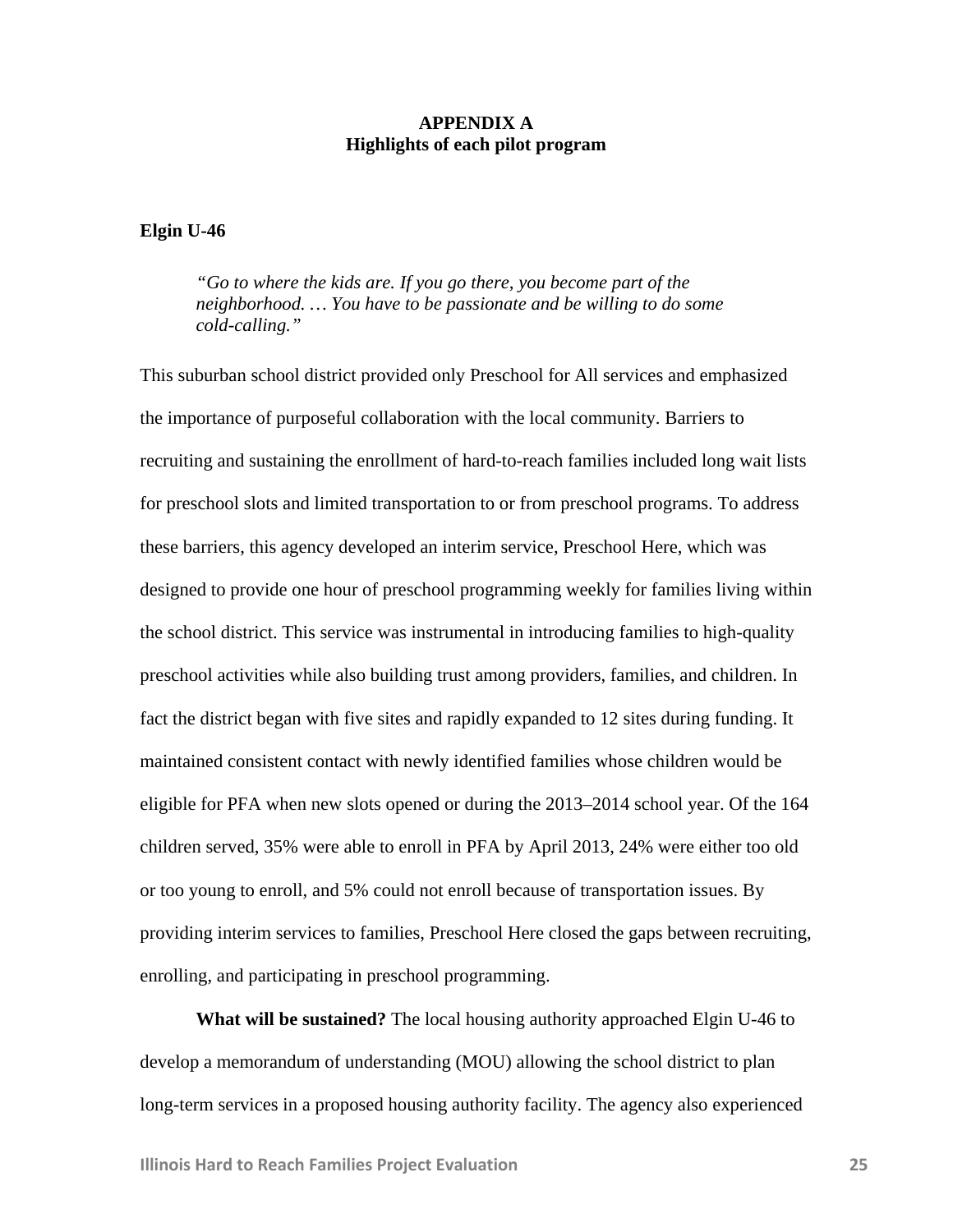## **APPENDIX A Highlights of each pilot program**

## **Elgin U-46**

*"Go to where the kids are. If you go there, you become part of the neighborhood. … You have to be passionate and be willing to do some cold-calling."*

This suburban school district provided only Preschool for All services and emphasized the importance of purposeful collaboration with the local community. Barriers to recruiting and sustaining the enrollment of hard-to-reach families included long wait lists for preschool slots and limited transportation to or from preschool programs. To address these barriers, this agency developed an interim service, Preschool Here, which was designed to provide one hour of preschool programming weekly for families living within the school district. This service was instrumental in introducing families to high-quality preschool activities while also building trust among providers, families, and children. In fact the district began with five sites and rapidly expanded to 12 sites during funding. It maintained consistent contact with newly identified families whose children would be eligible for PFA when new slots opened or during the 2013–2014 school year. Of the 164 children served, 35% were able to enroll in PFA by April 2013, 24% were either too old or too young to enroll, and 5% could not enroll because of transportation issues. By providing interim services to families, Preschool Here closed the gaps between recruiting, enrolling, and participating in preschool programming.

**What will be sustained?** The local housing authority approached Elgin U-46 to develop a memorandum of understanding (MOU) allowing the school district to plan long-term services in a proposed housing authority facility. The agency also experienced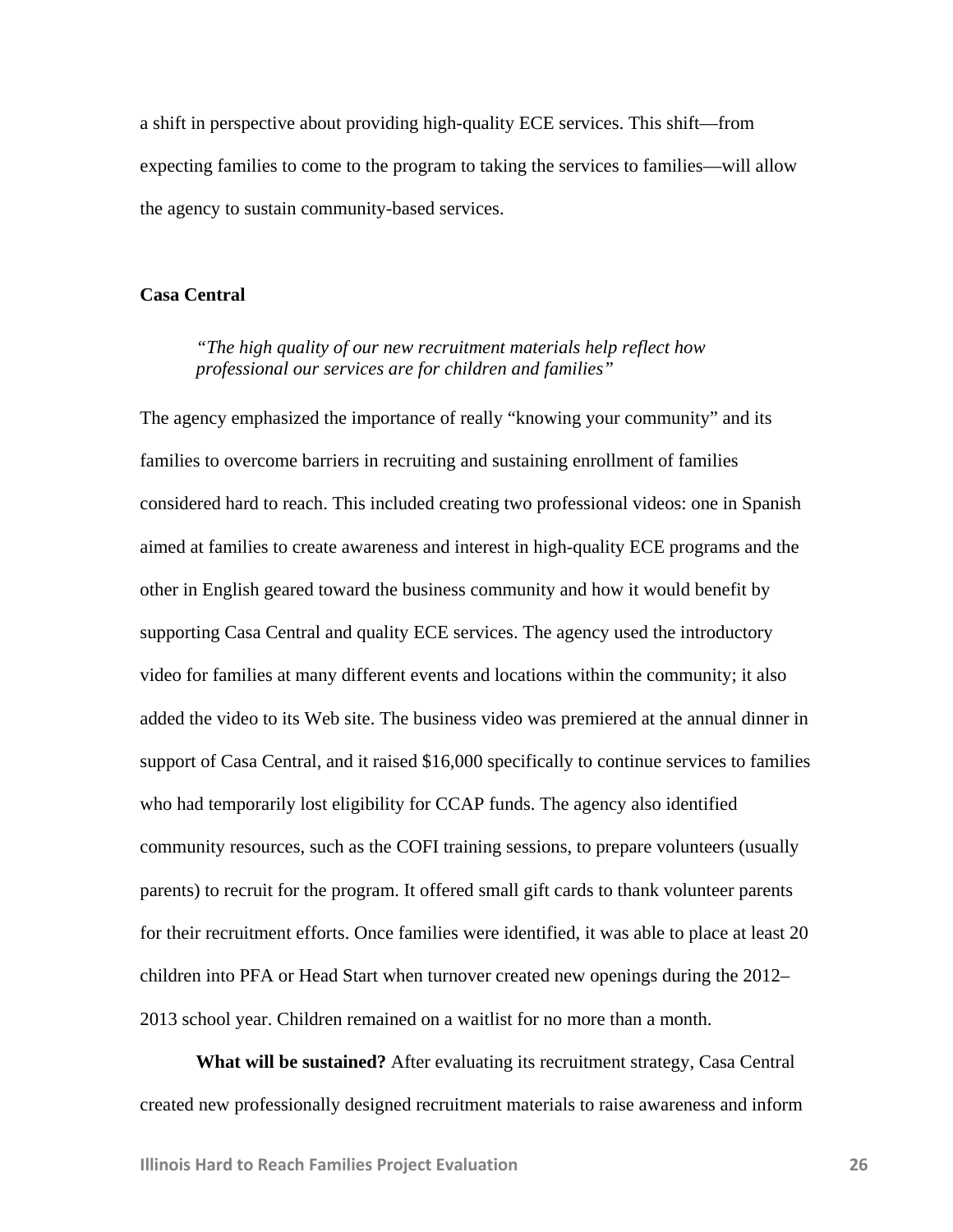a shift in perspective about providing high-quality ECE services. This shift—from expecting families to come to the program to taking the services to families—will allow the agency to sustain community-based services.

#### **Casa Central**

## *"The high quality of our new recruitment materials help reflect how professional our services are for children and families"*

The agency emphasized the importance of really "knowing your community" and its families to overcome barriers in recruiting and sustaining enrollment of families considered hard to reach. This included creating two professional videos: one in Spanish aimed at families to create awareness and interest in high-quality ECE programs and the other in English geared toward the business community and how it would benefit by supporting Casa Central and quality ECE services. The agency used the introductory video for families at many different events and locations within the community; it also added the video to its Web site. The business video was premiered at the annual dinner in support of Casa Central, and it raised \$16,000 specifically to continue services to families who had temporarily lost eligibility for CCAP funds. The agency also identified community resources, such as the COFI training sessions, to prepare volunteers (usually parents) to recruit for the program. It offered small gift cards to thank volunteer parents for their recruitment efforts. Once families were identified, it was able to place at least 20 children into PFA or Head Start when turnover created new openings during the 2012– 2013 school year. Children remained on a waitlist for no more than a month.

**What will be sustained?** After evaluating its recruitment strategy, Casa Central created new professionally designed recruitment materials to raise awareness and inform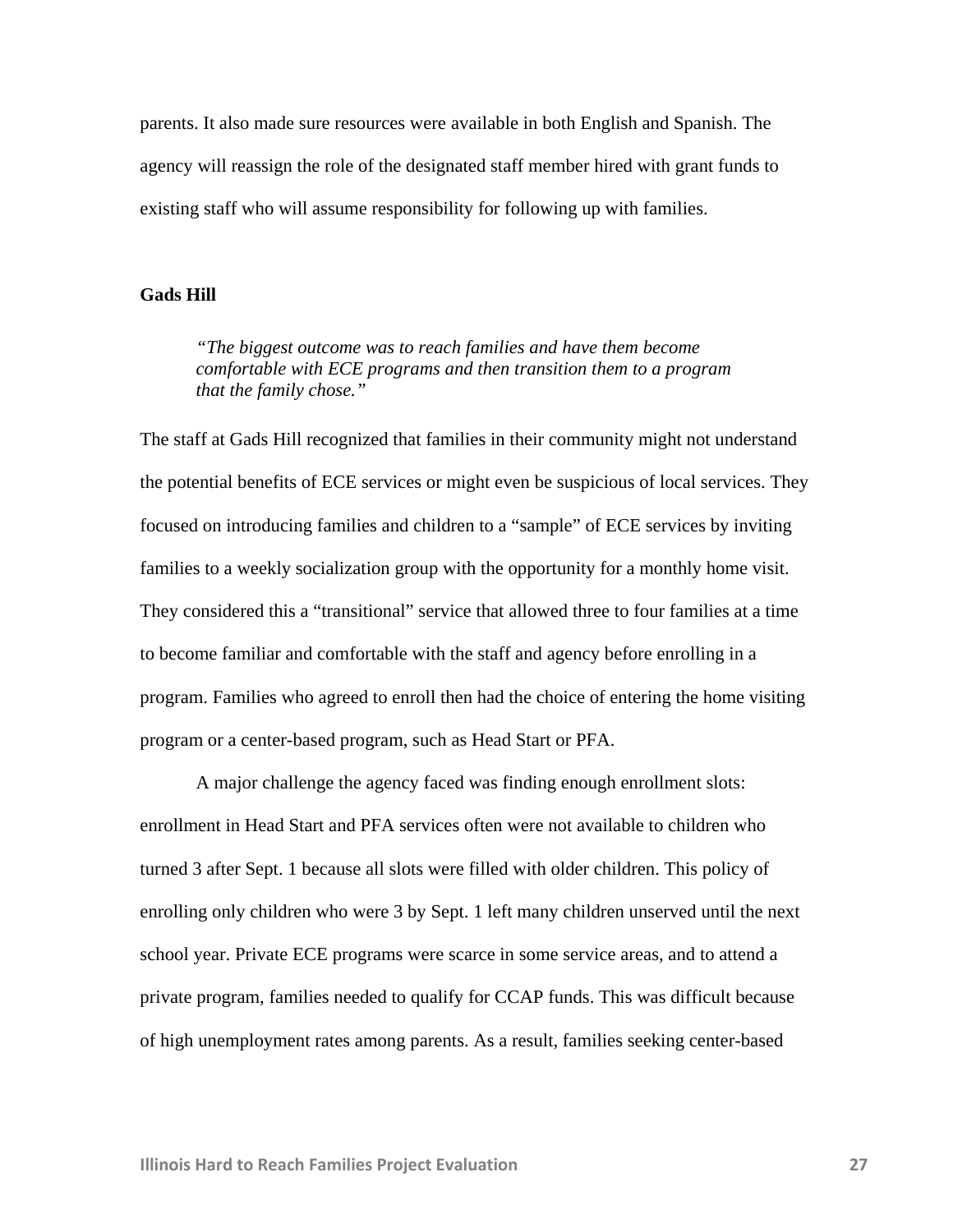parents. It also made sure resources were available in both English and Spanish. The agency will reassign the role of the designated staff member hired with grant funds to existing staff who will assume responsibility for following up with families.

#### **Gads Hill**

*"The biggest outcome was to reach families and have them become comfortable with ECE programs and then transition them to a program that the family chose."* 

The staff at Gads Hill recognized that families in their community might not understand the potential benefits of ECE services or might even be suspicious of local services. They focused on introducing families and children to a "sample" of ECE services by inviting families to a weekly socialization group with the opportunity for a monthly home visit. They considered this a "transitional" service that allowed three to four families at a time to become familiar and comfortable with the staff and agency before enrolling in a program. Families who agreed to enroll then had the choice of entering the home visiting program or a center-based program, such as Head Start or PFA.

A major challenge the agency faced was finding enough enrollment slots: enrollment in Head Start and PFA services often were not available to children who turned 3 after Sept. 1 because all slots were filled with older children. This policy of enrolling only children who were 3 by Sept. 1 left many children unserved until the next school year. Private ECE programs were scarce in some service areas, and to attend a private program, families needed to qualify for CCAP funds. This was difficult because of high unemployment rates among parents. As a result, families seeking center-based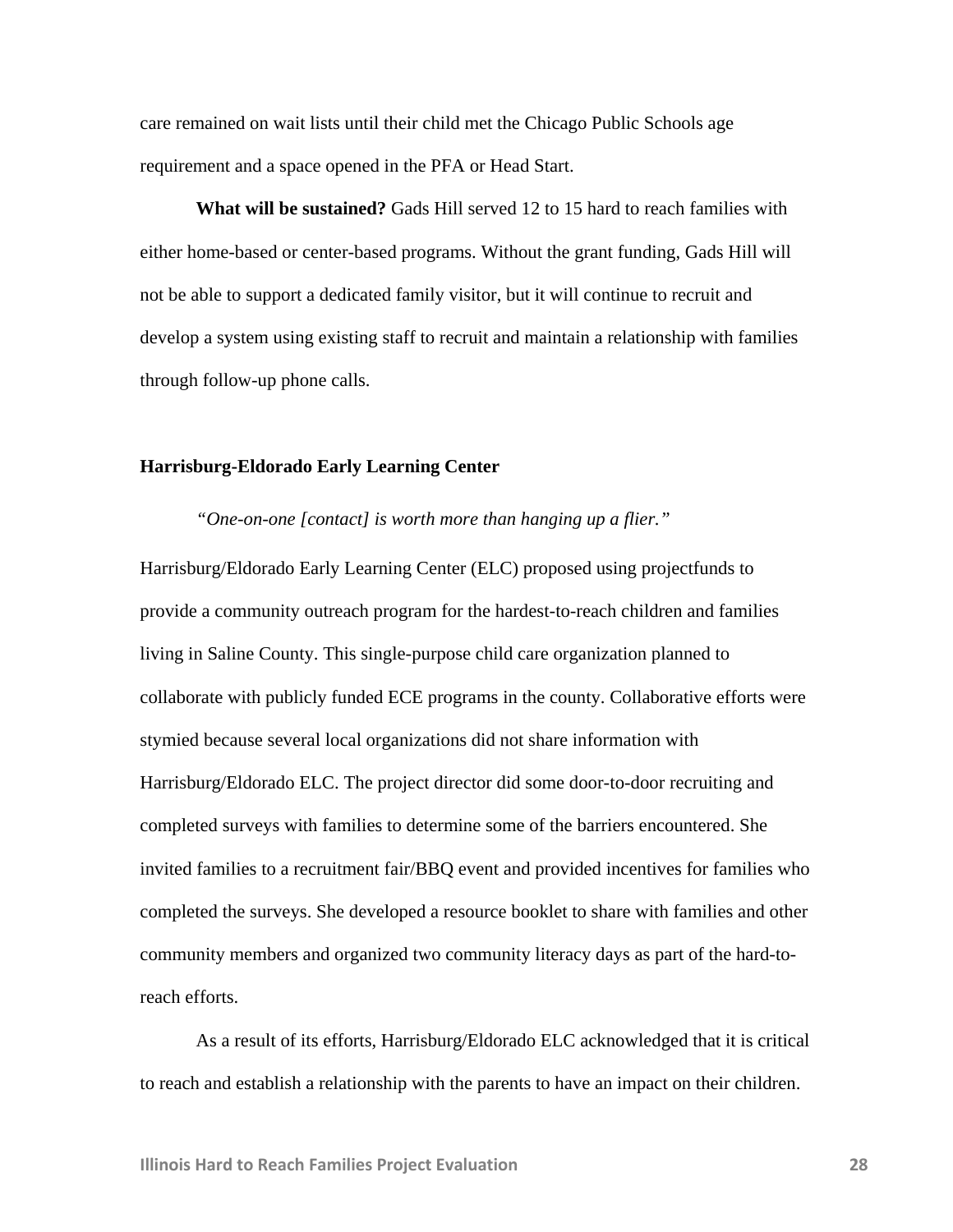care remained on wait lists until their child met the Chicago Public Schools age requirement and a space opened in the PFA or Head Start.

**What will be sustained?** Gads Hill served 12 to 15 hard to reach families with either home-based or center-based programs. Without the grant funding, Gads Hill will not be able to support a dedicated family visitor, but it will continue to recruit and develop a system using existing staff to recruit and maintain a relationship with families through follow-up phone calls.

#### **Harrisburg-Eldorado Early Learning Center**

*"One-on-one [contact] is worth more than hanging up a flier."* 

Harrisburg/Eldorado Early Learning Center (ELC) proposed using projectfunds to provide a community outreach program for the hardest-to-reach children and families living in Saline County. This single-purpose child care organization planned to collaborate with publicly funded ECE programs in the county. Collaborative efforts were stymied because several local organizations did not share information with Harrisburg/Eldorado ELC. The project director did some door-to-door recruiting and completed surveys with families to determine some of the barriers encountered. She invited families to a recruitment fair/BBQ event and provided incentives for families who completed the surveys. She developed a resource booklet to share with families and other community members and organized two community literacy days as part of the hard-toreach efforts.

As a result of its efforts, Harrisburg/Eldorado ELC acknowledged that it is critical to reach and establish a relationship with the parents to have an impact on their children.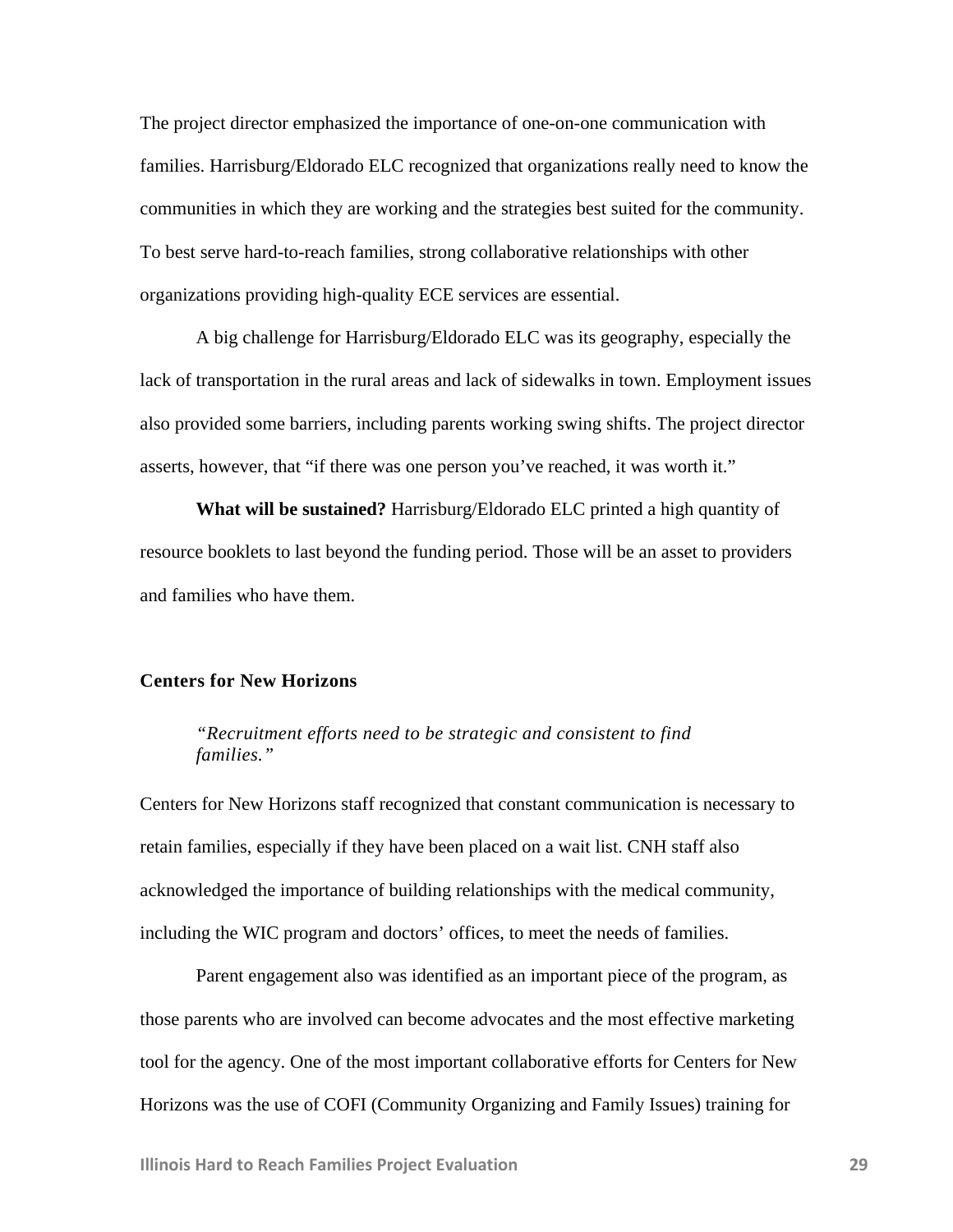The project director emphasized the importance of one-on-one communication with families. Harrisburg/Eldorado ELC recognized that organizations really need to know the communities in which they are working and the strategies best suited for the community. To best serve hard-to-reach families, strong collaborative relationships with other organizations providing high-quality ECE services are essential.

A big challenge for Harrisburg/Eldorado ELC was its geography, especially the lack of transportation in the rural areas and lack of sidewalks in town. Employment issues also provided some barriers, including parents working swing shifts. The project director asserts, however, that "if there was one person you've reached, it was worth it."

**What will be sustained?** Harrisburg/Eldorado ELC printed a high quantity of resource booklets to last beyond the funding period. Those will be an asset to providers and families who have them.

#### **Centers for New Horizons**

## *"Recruitment efforts need to be strategic and consistent to find families."*

Centers for New Horizons staff recognized that constant communication is necessary to retain families, especially if they have been placed on a wait list. CNH staff also acknowledged the importance of building relationships with the medical community, including the WIC program and doctors' offices, to meet the needs of families.

Parent engagement also was identified as an important piece of the program, as those parents who are involved can become advocates and the most effective marketing tool for the agency. One of the most important collaborative efforts for Centers for New Horizons was the use of COFI (Community Organizing and Family Issues) training for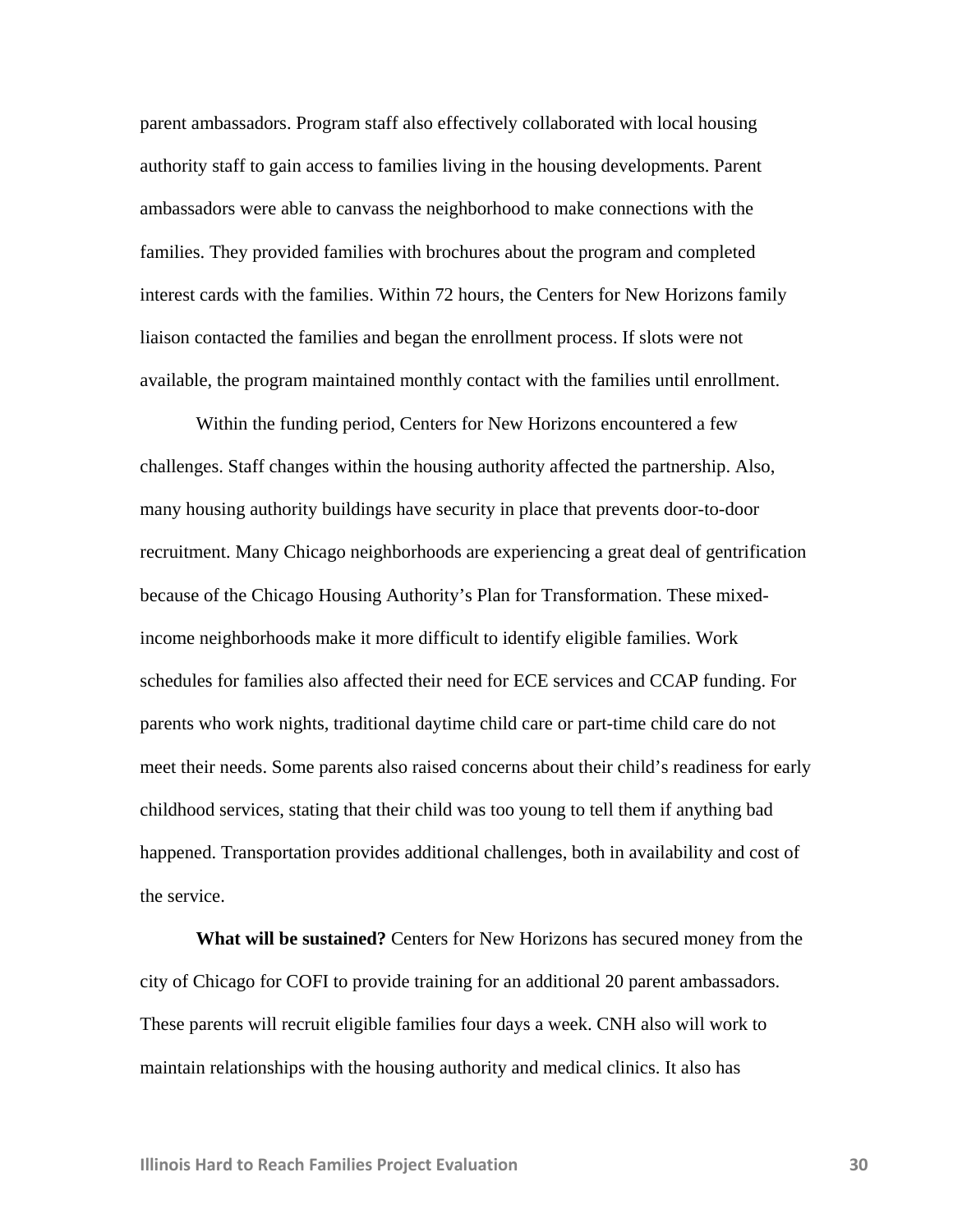parent ambassadors. Program staff also effectively collaborated with local housing authority staff to gain access to families living in the housing developments. Parent ambassadors were able to canvass the neighborhood to make connections with the families. They provided families with brochures about the program and completed interest cards with the families. Within 72 hours, the Centers for New Horizons family liaison contacted the families and began the enrollment process. If slots were not available, the program maintained monthly contact with the families until enrollment.

Within the funding period, Centers for New Horizons encountered a few challenges. Staff changes within the housing authority affected the partnership. Also, many housing authority buildings have security in place that prevents door-to-door recruitment. Many Chicago neighborhoods are experiencing a great deal of gentrification because of the Chicago Housing Authority's Plan for Transformation. These mixedincome neighborhoods make it more difficult to identify eligible families. Work schedules for families also affected their need for ECE services and CCAP funding. For parents who work nights, traditional daytime child care or part-time child care do not meet their needs. Some parents also raised concerns about their child's readiness for early childhood services, stating that their child was too young to tell them if anything bad happened. Transportation provides additional challenges, both in availability and cost of the service.

**What will be sustained?** Centers for New Horizons has secured money from the city of Chicago for COFI to provide training for an additional 20 parent ambassadors. These parents will recruit eligible families four days a week. CNH also will work to maintain relationships with the housing authority and medical clinics. It also has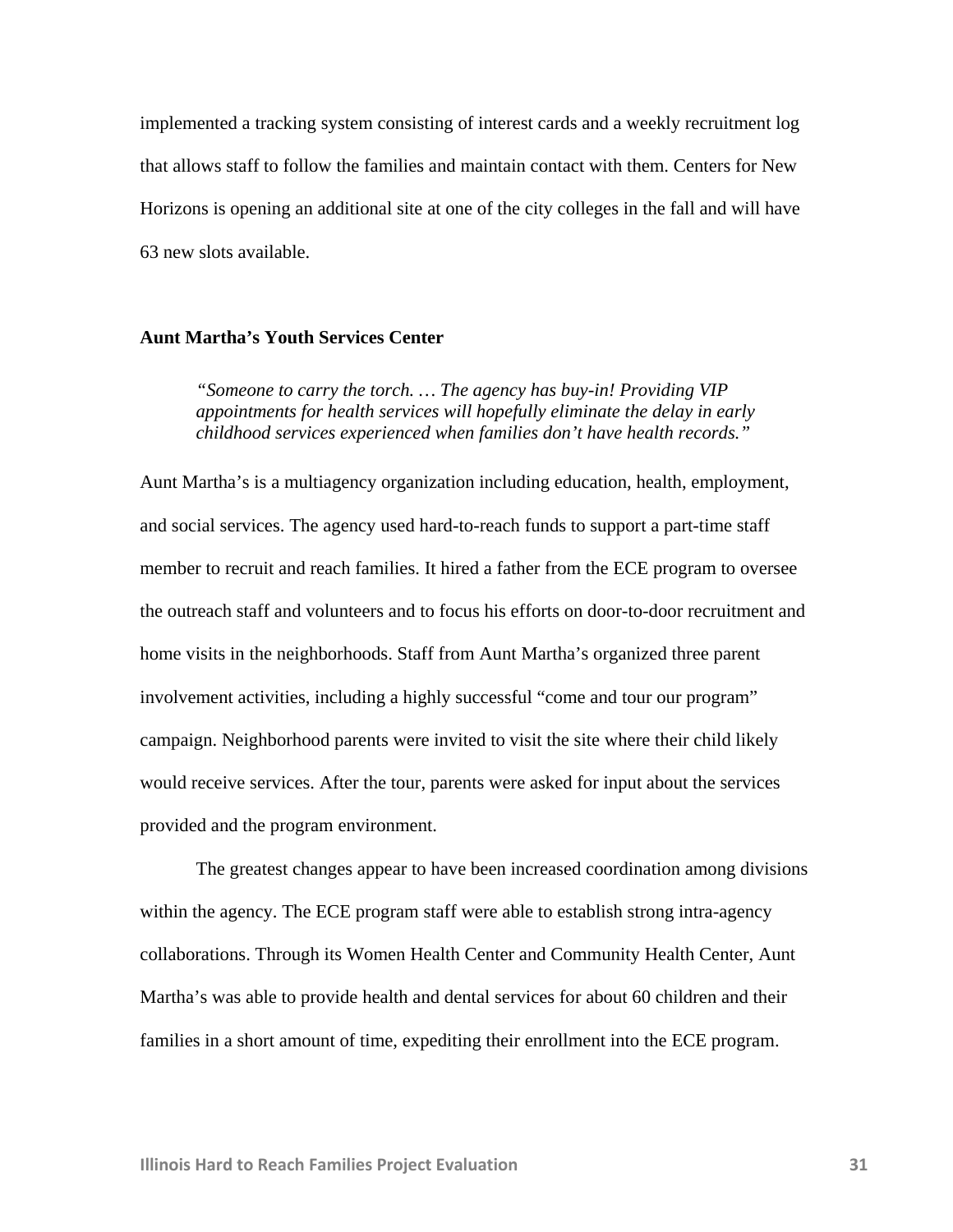implemented a tracking system consisting of interest cards and a weekly recruitment log that allows staff to follow the families and maintain contact with them. Centers for New Horizons is opening an additional site at one of the city colleges in the fall and will have 63 new slots available.

#### **Aunt Martha's Youth Services Center**

*"Someone to carry the torch. … The agency has buy-in! Providing VIP appointments for health services will hopefully eliminate the delay in early childhood services experienced when families don't have health records."* 

Aunt Martha's is a multiagency organization including education, health, employment, and social services. The agency used hard-to-reach funds to support a part-time staff member to recruit and reach families. It hired a father from the ECE program to oversee the outreach staff and volunteers and to focus his efforts on door-to-door recruitment and home visits in the neighborhoods. Staff from Aunt Martha's organized three parent involvement activities, including a highly successful "come and tour our program" campaign. Neighborhood parents were invited to visit the site where their child likely would receive services. After the tour, parents were asked for input about the services provided and the program environment.

 The greatest changes appear to have been increased coordination among divisions within the agency. The ECE program staff were able to establish strong intra-agency collaborations. Through its Women Health Center and Community Health Center, Aunt Martha's was able to provide health and dental services for about 60 children and their families in a short amount of time, expediting their enrollment into the ECE program.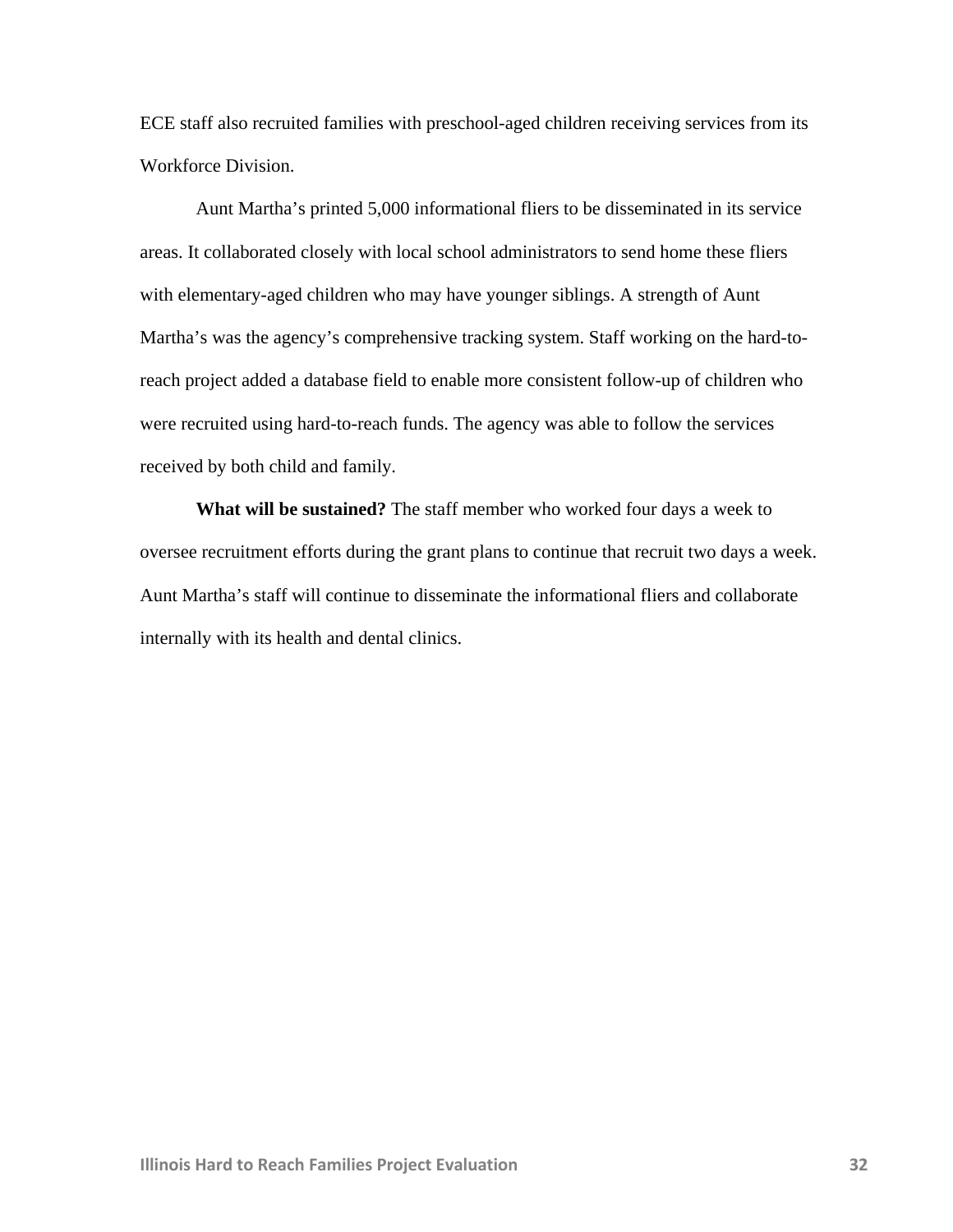ECE staff also recruited families with preschool-aged children receiving services from its Workforce Division.

 Aunt Martha's printed 5,000 informational fliers to be disseminated in its service areas. It collaborated closely with local school administrators to send home these fliers with elementary-aged children who may have younger siblings. A strength of Aunt Martha's was the agency's comprehensive tracking system. Staff working on the hard-toreach project added a database field to enable more consistent follow-up of children who were recruited using hard-to-reach funds. The agency was able to follow the services received by both child and family.

**What will be sustained?** The staff member who worked four days a week to oversee recruitment efforts during the grant plans to continue that recruit two days a week. Aunt Martha's staff will continue to disseminate the informational fliers and collaborate internally with its health and dental clinics.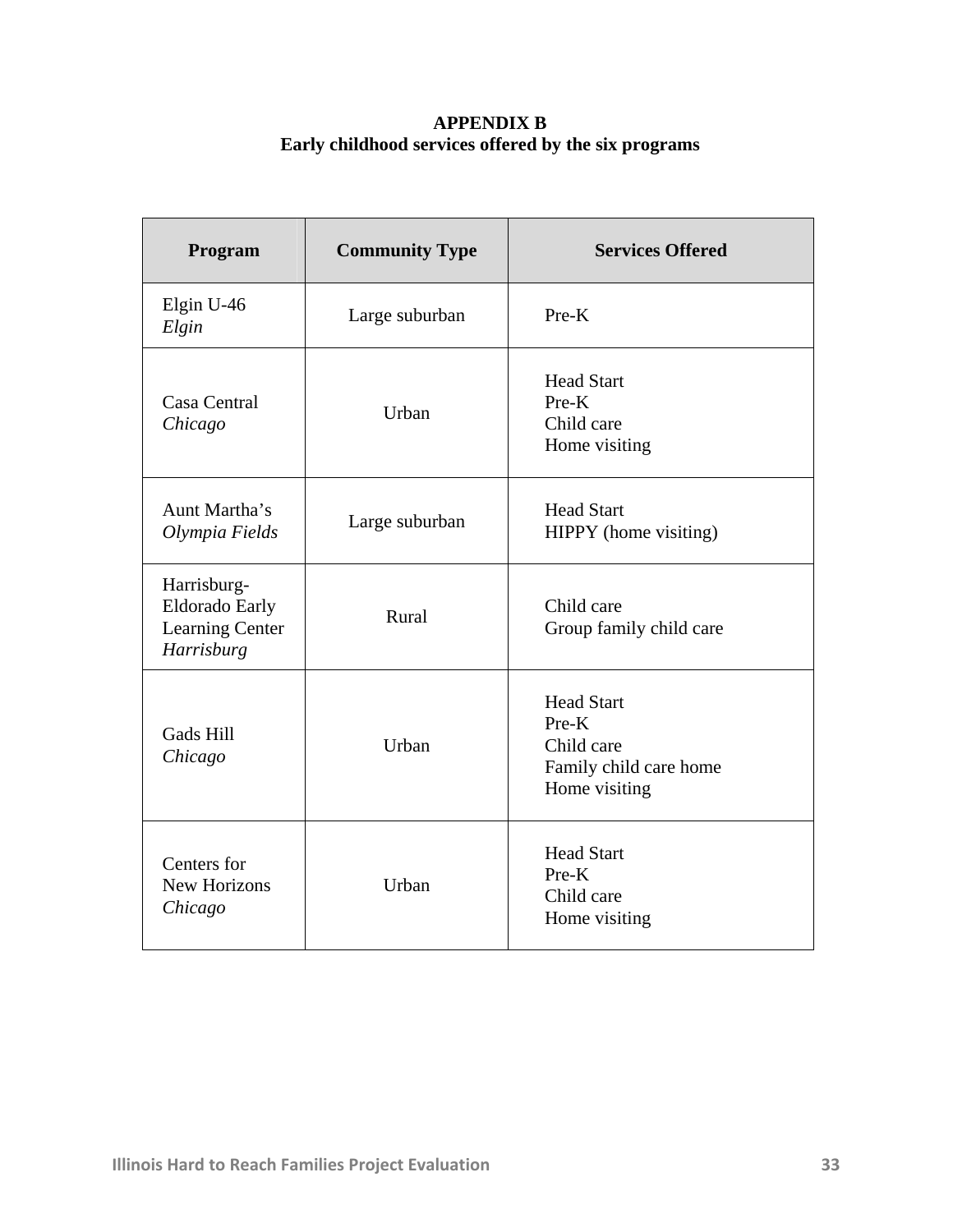## **APPENDIX B Early childhood services offered by the six programs**

| Program                                                               | <b>Community Type</b> | <b>Services Offered</b>                                                             |  |
|-----------------------------------------------------------------------|-----------------------|-------------------------------------------------------------------------------------|--|
| Elgin U-46<br>Elgin                                                   | Large suburban        | $Pre-K$                                                                             |  |
| Casa Central<br>Chicago                                               | Urban                 | <b>Head Start</b><br>$Pre-K$<br>Child care<br>Home visiting                         |  |
| Aunt Martha's<br>Olympia Fields                                       | Large suburban        | <b>Head Start</b><br>HIPPY (home visiting)                                          |  |
| Harrisburg-<br><b>Eldorado Early</b><br>Learning Center<br>Harrisburg | Rural                 | Child care<br>Group family child care                                               |  |
| Gads Hill<br>Chicago                                                  | Urban                 | <b>Head Start</b><br>Pre-K<br>Child care<br>Family child care home<br>Home visiting |  |
| Centers for<br><b>New Horizons</b><br>Chicago                         | Urban                 | <b>Head Start</b><br>$Pre-K$<br>Child care<br>Home visiting                         |  |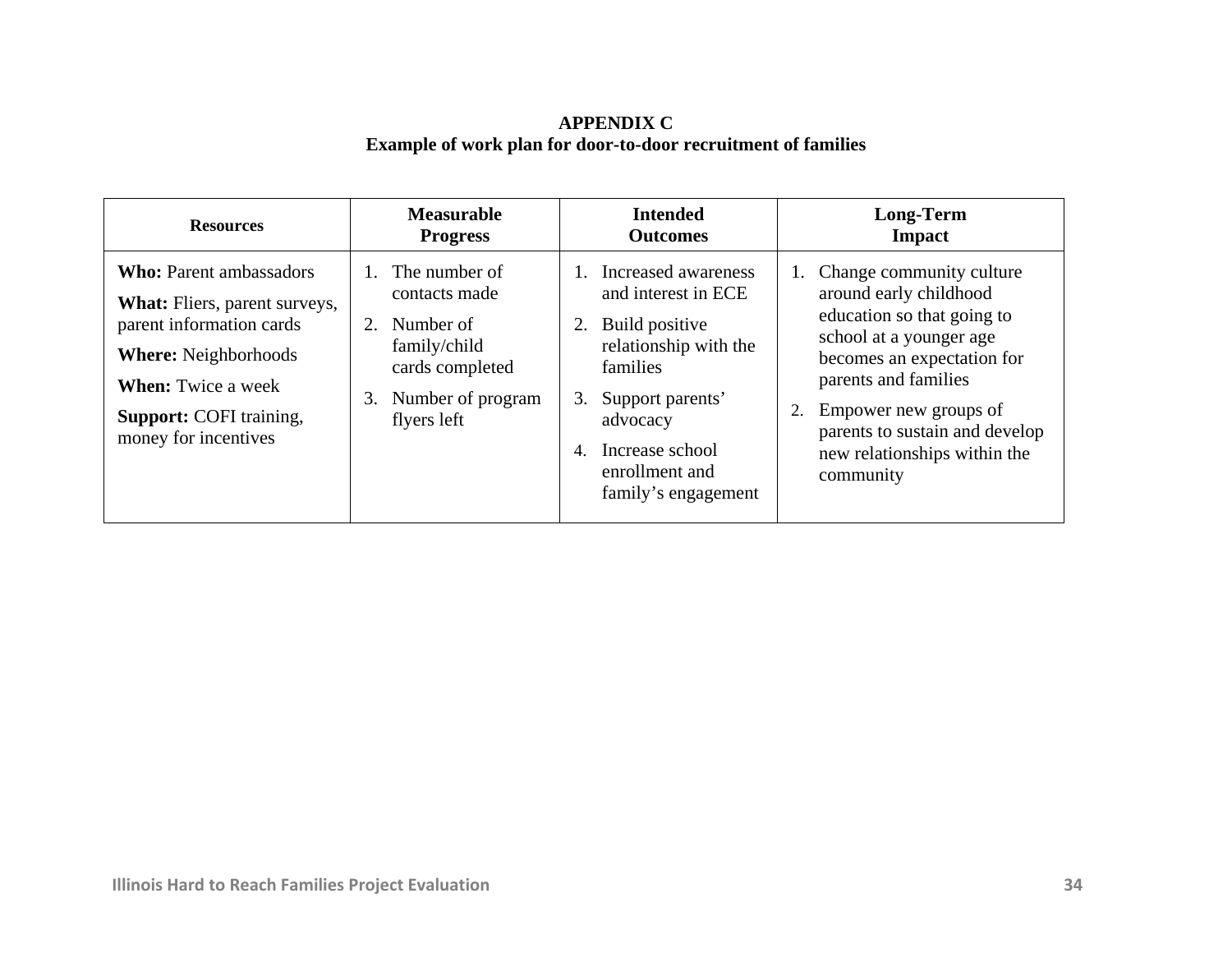## **APPENDIX C Example of work plan for door-to-door recruitment of families**

| <b>Resources</b>                                                                                                                                                                                                         | <b>Measurable</b>                                                                                                              | <b>Intended</b>                                                                                                                                                                                           | Long-Term                                                                                                                                                                                                                                                                 |
|--------------------------------------------------------------------------------------------------------------------------------------------------------------------------------------------------------------------------|--------------------------------------------------------------------------------------------------------------------------------|-----------------------------------------------------------------------------------------------------------------------------------------------------------------------------------------------------------|---------------------------------------------------------------------------------------------------------------------------------------------------------------------------------------------------------------------------------------------------------------------------|
|                                                                                                                                                                                                                          | <b>Progress</b>                                                                                                                | <b>Outcomes</b>                                                                                                                                                                                           | Impact                                                                                                                                                                                                                                                                    |
| <b>Who:</b> Parent ambassadors<br><b>What:</b> Fliers, parent surveys,<br>parent information cards<br><b>Where:</b> Neighborhoods<br><b>When:</b> Twice a week<br><b>Support: COFI</b> training,<br>money for incentives | 1. The number of<br>contacts made<br>2. Number of<br>family/child<br>cards completed<br>Number of program<br>3.<br>flyers left | Increased awareness<br>and interest in ECE<br>Build positive<br>relationship with the<br>families<br>Support parents'<br>3.<br>advocacy<br>Increase school<br>4.<br>enrollment and<br>family's engagement | Change community culture<br>around early childhood<br>education so that going to<br>school at a younger age<br>becomes an expectation for<br>parents and families<br>Empower new groups of<br>parents to sustain and develop<br>new relationships within the<br>community |